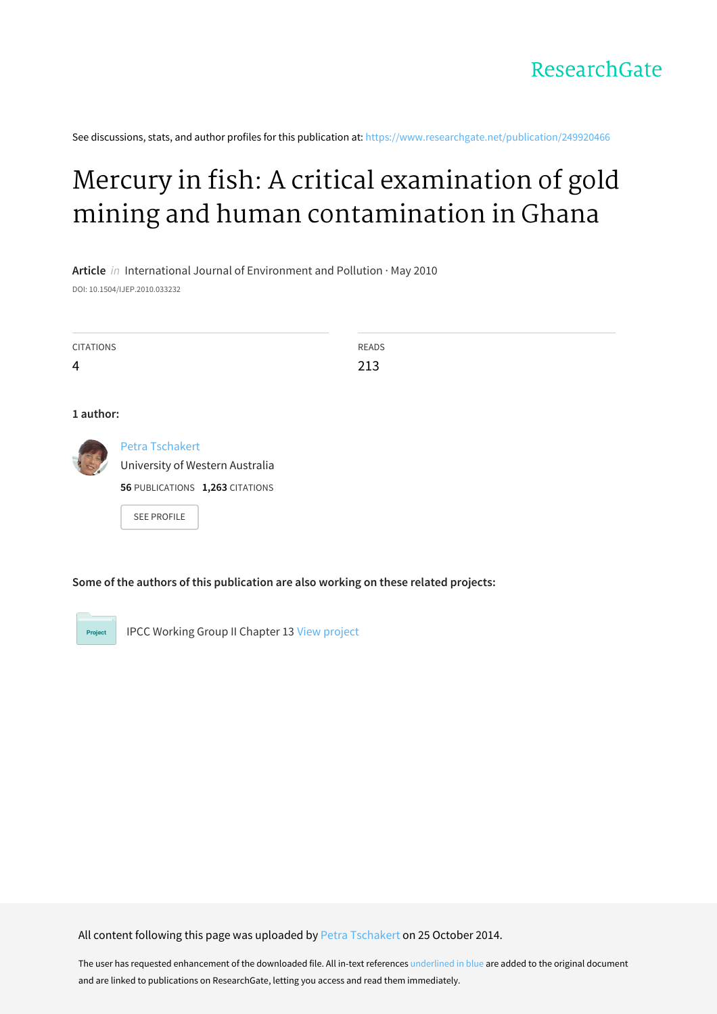

See discussions, stats, and author profiles for this publication at: [https://www.researchgate.net/publication/249920466](https://www.researchgate.net/publication/249920466_Mercury_in_fish_A_critical_examination_of_gold_mining_and_human_contamination_in_Ghana?enrichId=rgreq-ae885e68416dd3318b9ce574a71792fe-XXX&enrichSource=Y292ZXJQYWdlOzI0OTkyMDQ2NjtBUzoxNTYwODYwODY2NzIzODRAMTQxNDIyNTIzMTc5MA%3D%3D&el=1_x_2&_esc=publicationCoverPdf)

# Mercury in fish: A critical examination of gold mining and human [contamination](https://www.researchgate.net/publication/249920466_Mercury_in_fish_A_critical_examination_of_gold_mining_and_human_contamination_in_Ghana?enrichId=rgreq-ae885e68416dd3318b9ce574a71792fe-XXX&enrichSource=Y292ZXJQYWdlOzI0OTkyMDQ2NjtBUzoxNTYwODYwODY2NzIzODRAMTQxNDIyNTIzMTc5MA%3D%3D&el=1_x_3&_esc=publicationCoverPdf) in Ghana

**Article** in International Journal of Environment and Pollution · May 2010 DOI: 10.1504/IJEP.2010.033232

| <b>CITATIONS</b><br>$\overline{4}$ |                                                                                                                    | <b>READS</b><br>213 |  |
|------------------------------------|--------------------------------------------------------------------------------------------------------------------|---------------------|--|
| 1 author:                          |                                                                                                                    |                     |  |
|                                    | <b>Petra Tschakert</b><br>University of Western Australia<br>56 PUBLICATIONS 1,263 CITATIONS<br><b>SEE PROFILE</b> |                     |  |

**Some of the authors of this publication are also working on these related projects:**

Project

IPCC Working Group II Chapter 13 View [project](https://www.researchgate.net/project/IPCC-Working-Group-II-Chapter-13?enrichId=rgreq-ae885e68416dd3318b9ce574a71792fe-XXX&enrichSource=Y292ZXJQYWdlOzI0OTkyMDQ2NjtBUzoxNTYwODYwODY2NzIzODRAMTQxNDIyNTIzMTc5MA%3D%3D&el=1_x_9&_esc=publicationCoverPdf)

All content following this page was uploaded by Petra [Tschakert](https://www.researchgate.net/profile/Petra_Tschakert?enrichId=rgreq-ae885e68416dd3318b9ce574a71792fe-XXX&enrichSource=Y292ZXJQYWdlOzI0OTkyMDQ2NjtBUzoxNTYwODYwODY2NzIzODRAMTQxNDIyNTIzMTc5MA%3D%3D&el=1_x_10&_esc=publicationCoverPdf) on 25 October 2014.

The user has requested enhancement of the downloaded file. All in-text references underlined in blue are added to the original document and are linked to publications on ResearchGate, letting you access and read them immediately.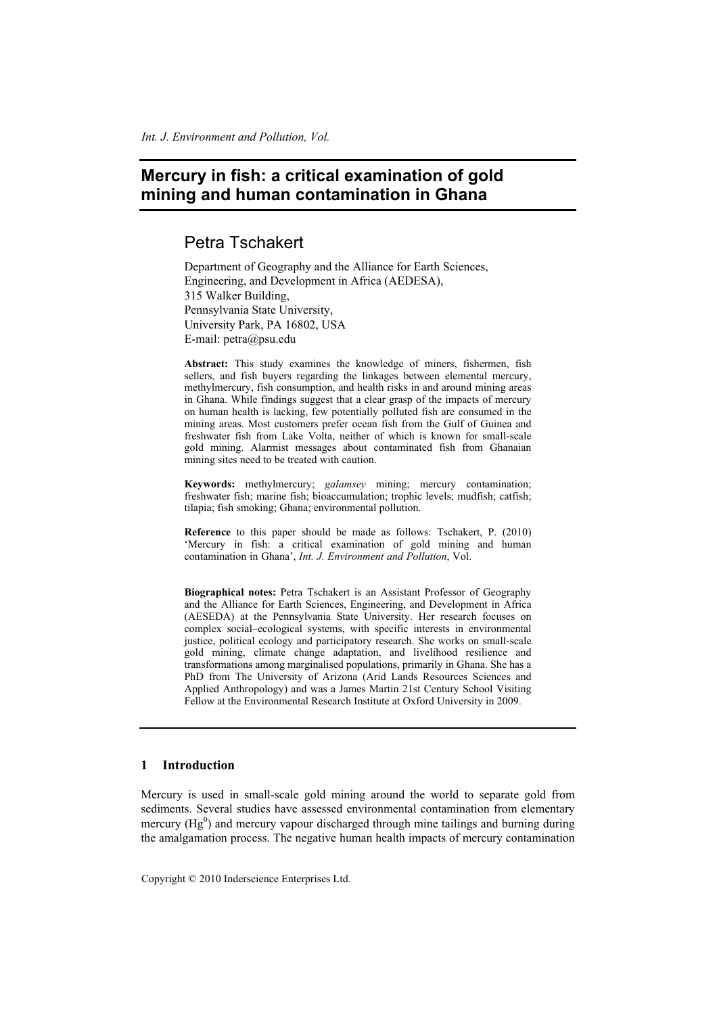## **Mercury in fish: a critical examination of gold mining and human contamination in Ghana**

### Petra Tschakert

Department of Geography and the Alliance for Earth Sciences, Engineering, and Development in Africa (AEDESA), 315 Walker Building, Pennsylvania State University, University Park, PA 16802, USA E-mail: petra@psu.edu

**Abstract:** This study examines the knowledge of miners, fishermen, fish sellers, and fish buyers regarding the linkages between elemental mercury, methylmercury, fish consumption, and health risks in and around mining areas in Ghana. While findings suggest that a clear grasp of the impacts of mercury on human health is lacking, few potentially polluted fish are consumed in the mining areas. Most customers prefer ocean fish from the Gulf of Guinea and freshwater fish from Lake Volta, neither of which is known for small-scale gold mining. Alarmist messages about contaminated fish from Ghanaian mining sites need to be treated with caution.

**Keywords:** methylmercury; *galamsey* mining; mercury contamination; freshwater fish; marine fish; bioaccumulation; trophic levels; mudfish; catfish; tilapia; fish smoking; Ghana; environmental pollution.

**Reference** to this paper should be made as follows: Tschakert, P. (2010) 'Mercury in fish: a critical examination of gold mining and human contamination in Ghana', *Int. J. Environment and Pollution*, Vol.

**Biographical notes:** Petra Tschakert is an Assistant Professor of Geography and the Alliance for Earth Sciences, Engineering, and Development in Africa (AESEDA) at the Pennsylvania State University. Her research focuses on complex social–ecological systems, with specific interests in environmental justice, political ecology and participatory research. She works on small-scale gold mining, climate change adaptation, and livelihood resilience and transformations among marginalised populations, primarily in Ghana. She has a PhD from The University of Arizona (Arid Lands Resources Sciences and Applied Anthropology) and was a James Martin 21st Century School Visiting Fellow at the Environmental Research Institute at Oxford University in 2009.

#### **1 Introduction**

Mercury is used in small-scale gold mining around the world to separate gold from sediments. Several studies have assessed environmental contamination from elementary mercury  $(Hg^0)$  and mercury vapour discharged through mine tailings and burning during the amalgamation process. The negative human health impacts of mercury contamination

Copyright © 2010 Inderscience Enterprises Ltd.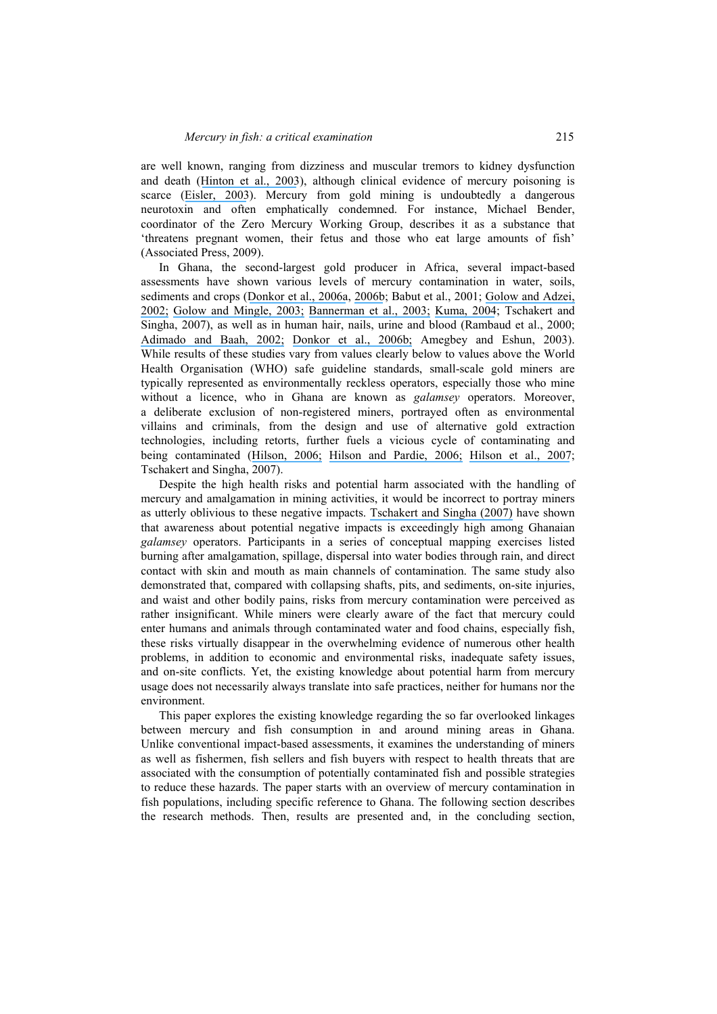are well known, ranging from dizziness and muscular tremors to kidney dysfunction and death ([Hinton et al., 2003](https://www.researchgate.net/publication/45688741_Women_mercury_and_artisanal_gold_mining_Risk_communication_and_mitigation?el=1_x_8&enrichId=rgreq-ae885e68416dd3318b9ce574a71792fe-XXX&enrichSource=Y292ZXJQYWdlOzI0OTkyMDQ2NjtBUzoxNTYwODYwODY2NzIzODRAMTQxNDIyNTIzMTc5MA==)), although clinical evidence of mercury poisoning is scarce ([Eisler, 2003](https://www.researchgate.net/publication/10570622_Health_Risks_of_Gold_Miners_A_Synoptic_Review?el=1_x_8&enrichId=rgreq-ae885e68416dd3318b9ce574a71792fe-XXX&enrichSource=Y292ZXJQYWdlOzI0OTkyMDQ2NjtBUzoxNTYwODYwODY2NzIzODRAMTQxNDIyNTIzMTc5MA==)). Mercury from gold mining is undoubtedly a dangerous neurotoxin and often emphatically condemned. For instance, Michael Bender, coordinator of the Zero Mercury Working Group, describes it as a substance that 'threatens pregnant women, their fetus and those who eat large amounts of fish' (Associated Press, 2009).

In Ghana, the second-largest gold producer in Africa, several impact-based assessments have shown various levels of mercury contamination in water, soils, sediments and crops ([Donkor et al., 2006a](https://www.researchgate.net/publication/242260622_Artisanal_Mining_of_Gold_with_Mercury_in_Ghana?el=1_x_8&enrichId=rgreq-ae885e68416dd3318b9ce574a71792fe-XXX&enrichSource=Y292ZXJQYWdlOzI0OTkyMDQ2NjtBUzoxNTYwODYwODY2NzIzODRAMTQxNDIyNTIzMTc5MA==), [2006b](https://www.researchgate.net/publication/7523939_Mercury_in_different_environmental_compartments_of_the_Pra_River_Basin_Ghana?el=1_x_8&enrichId=rgreq-ae885e68416dd3318b9ce574a71792fe-XXX&enrichSource=Y292ZXJQYWdlOzI0OTkyMDQ2NjtBUzoxNTYwODYwODY2NzIzODRAMTQxNDIyNTIzMTc5MA==); Babut et al., 2001; [Golow and Adzei,](https://www.researchgate.net/publication/11270202_Mercury_in_Surface_Soil_and_Cassava_Crop_Near_an_Alluvial_Goldmine_at_Dunkwa-on-Offin_Ghana?el=1_x_8&enrichId=rgreq-ae885e68416dd3318b9ce574a71792fe-XXX&enrichSource=Y292ZXJQYWdlOzI0OTkyMDQ2NjtBUzoxNTYwODYwODY2NzIzODRAMTQxNDIyNTIzMTc5MA==) [2002;](https://www.researchgate.net/publication/11270202_Mercury_in_Surface_Soil_and_Cassava_Crop_Near_an_Alluvial_Goldmine_at_Dunkwa-on-Offin_Ghana?el=1_x_8&enrichId=rgreq-ae885e68416dd3318b9ce574a71792fe-XXX&enrichSource=Y292ZXJQYWdlOzI0OTkyMDQ2NjtBUzoxNTYwODYwODY2NzIzODRAMTQxNDIyNTIzMTc5MA==) [Golow and Mingle, 2003;](https://www.researchgate.net/publication/10936206_Mercury_in_River_Water_and_Sediments_in_Some_Rivers_near_Dunkwa-On-Offin_an_Alluvial_Goldmine_Ghana?el=1_x_8&enrichId=rgreq-ae885e68416dd3318b9ce574a71792fe-XXX&enrichSource=Y292ZXJQYWdlOzI0OTkyMDQ2NjtBUzoxNTYwODYwODY2NzIzODRAMTQxNDIyNTIzMTc5MA==) [Bannerman et al., 2003;](https://www.researchgate.net/publication/215898701_Mercury_and_arsenic_in_the_gold_mining_regions_of_the_Ankobra_River_basin_in_Ghana?el=1_x_8&enrichId=rgreq-ae885e68416dd3318b9ce574a71792fe-XXX&enrichSource=Y292ZXJQYWdlOzI0OTkyMDQ2NjtBUzoxNTYwODYwODY2NzIzODRAMTQxNDIyNTIzMTc5MA==) [Kuma, 2004](https://www.researchgate.net/publication/225745624_Is_groundwater_in_the_Tarkwa_gold_mining_district_of_Ghana_potable?el=1_x_8&enrichId=rgreq-ae885e68416dd3318b9ce574a71792fe-XXX&enrichSource=Y292ZXJQYWdlOzI0OTkyMDQ2NjtBUzoxNTYwODYwODY2NzIzODRAMTQxNDIyNTIzMTc5MA==); Tschakert and Singha, 2007), as well as in human hair, nails, urine and blood (Rambaud et al., 2000; [Adimado and Baah, 2002;](https://www.researchgate.net/publication/11376379_Mercury_in_Human_Blood_Urine_Hair_Nail_and_Fish_from_the_Ankobra_and_Tano_River_Basins_in_Southwestern_Ghana?el=1_x_8&enrichId=rgreq-ae885e68416dd3318b9ce574a71792fe-XXX&enrichSource=Y292ZXJQYWdlOzI0OTkyMDQ2NjtBUzoxNTYwODYwODY2NzIzODRAMTQxNDIyNTIzMTc5MA==) [Donkor et al., 2006b;](https://www.researchgate.net/publication/7523939_Mercury_in_different_environmental_compartments_of_the_Pra_River_Basin_Ghana?el=1_x_8&enrichId=rgreq-ae885e68416dd3318b9ce574a71792fe-XXX&enrichSource=Y292ZXJQYWdlOzI0OTkyMDQ2NjtBUzoxNTYwODYwODY2NzIzODRAMTQxNDIyNTIzMTc5MA==) Amegbey and Eshun, 2003). While results of these studies vary from values clearly below to values above the World Health Organisation (WHO) safe guideline standards, small-scale gold miners are typically represented as environmentally reckless operators, especially those who mine without a licence, who in Ghana are known as *galamsey* operators. Moreover, a deliberate exclusion of non-registered miners, portrayed often as environmental villains and criminals, from the design and use of alternative gold extraction technologies, including retorts, further fuels a vicious cycle of contaminating and being contaminated ([Hilson, 2006;](https://www.researchgate.net/publication/7510011_Abatement_of_mercury_pollution_in_the_small-scale_gold_mining_industry_Restructuring_the_policy_and_research_agendas?el=1_x_8&enrichId=rgreq-ae885e68416dd3318b9ce574a71792fe-XXX&enrichSource=Y292ZXJQYWdlOzI0OTkyMDQ2NjtBUzoxNTYwODYwODY2NzIzODRAMTQxNDIyNTIzMTc5MA==) [Hilson and Pardie, 2006;](https://www.researchgate.net/publication/223524131_Mercury_An_agent_of_poverty_in_Ghana) [Hilson et al., 2007](https://www.researchgate.net/publication/6696720_Improving_awareness_of_mercury_pollution_in_small-scale_gold_mining_communities_Challenges_and_ways_forward_in_rural_Ghana?el=1_x_8&enrichId=rgreq-ae885e68416dd3318b9ce574a71792fe-XXX&enrichSource=Y292ZXJQYWdlOzI0OTkyMDQ2NjtBUzoxNTYwODYwODY2NzIzODRAMTQxNDIyNTIzMTc5MA==); Tschakert and Singha, 2007).

Despite the high health risks and potential harm associated with the handling of mercury and amalgamation in mining activities, it would be incorrect to portray miners as utterly oblivious to these negative impacts. [Tschakert and Singha \(2007\)](https://www.researchgate.net/publication/222142683_Contaminated_identities_Mercury_and_marginalization_in_Ghana) have shown that awareness about potential negative impacts is exceedingly high among Ghanaian *galamsey* operators. Participants in a series of conceptual mapping exercises listed burning after amalgamation, spillage, dispersal into water bodies through rain, and direct contact with skin and mouth as main channels of contamination. The same study also demonstrated that, compared with collapsing shafts, pits, and sediments, on-site injuries, and waist and other bodily pains, risks from mercury contamination were perceived as rather insignificant. While miners were clearly aware of the fact that mercury could enter humans and animals through contaminated water and food chains, especially fish, these risks virtually disappear in the overwhelming evidence of numerous other health problems, in addition to economic and environmental risks, inadequate safety issues, and on-site conflicts. Yet, the existing knowledge about potential harm from mercury usage does not necessarily always translate into safe practices, neither for humans nor the environment.

This paper explores the existing knowledge regarding the so far overlooked linkages between mercury and fish consumption in and around mining areas in Ghana. Unlike conventional impact-based assessments, it examines the understanding of miners as well as fishermen, fish sellers and fish buyers with respect to health threats that are associated with the consumption of potentially contaminated fish and possible strategies to reduce these hazards. The paper starts with an overview of mercury contamination in fish populations, including specific reference to Ghana. The following section describes the research methods. Then, results are presented and, in the concluding section,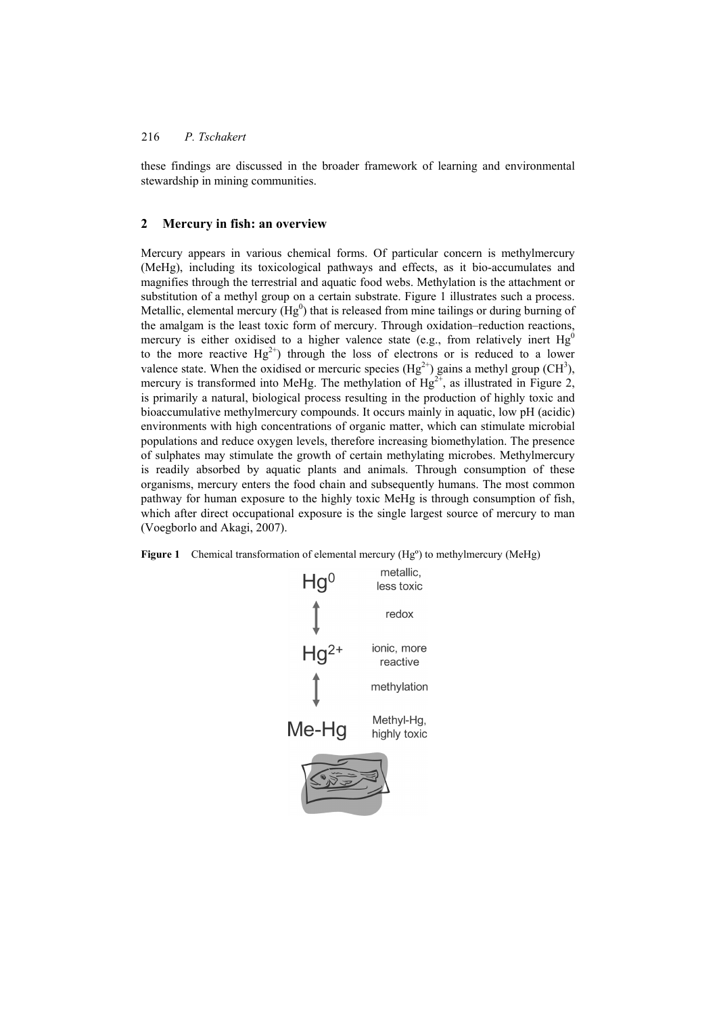these findings are discussed in the broader framework of learning and environmental stewardship in mining communities.

#### **2 Mercury in fish: an overview**

Mercury appears in various chemical forms. Of particular concern is methylmercury (MeHg), including its toxicological pathways and effects, as it bio-accumulates and magnifies through the terrestrial and aquatic food webs. Methylation is the attachment or substitution of a methyl group on a certain substrate. Figure 1 illustrates such a process. Metallic, elemental mercury ( $Hg^0$ ) that is released from mine tailings or during burning of the amalgam is the least toxic form of mercury. Through oxidation–reduction reactions, mercury is either oxidised to a higher valence state (e.g., from relatively inert  $Hg^0$ to the more reactive  $Hg^{2+}$  through the loss of electrons or is reduced to a lower valence state. When the oxidised or mercuric species  $(Hg^{2+})$  gains a methyl group (CH<sup>3</sup>), mercury is transformed into MeHg. The methylation of  $Hg^{2+}$ , as illustrated in Figure 2, is primarily a natural, biological process resulting in the production of highly toxic and bioaccumulative methylmercury compounds. It occurs mainly in aquatic, low pH (acidic) environments with high concentrations of organic matter, which can stimulate microbial populations and reduce oxygen levels, therefore increasing biomethylation. The presence of sulphates may stimulate the growth of certain methylating microbes. Methylmercury is readily absorbed by aquatic plants and animals. Through consumption of these organisms, mercury enters the food chain and subsequently humans. The most common pathway for human exposure to the highly toxic MeHg is through consumption of fish, which after direct occupational exposure is the single largest source of mercury to man (Voegborlo and Akagi, 2007).

Figure 1 Chemical transformation of elemental mercury (Hg<sup>o</sup>) to methylmercury (MeHg)

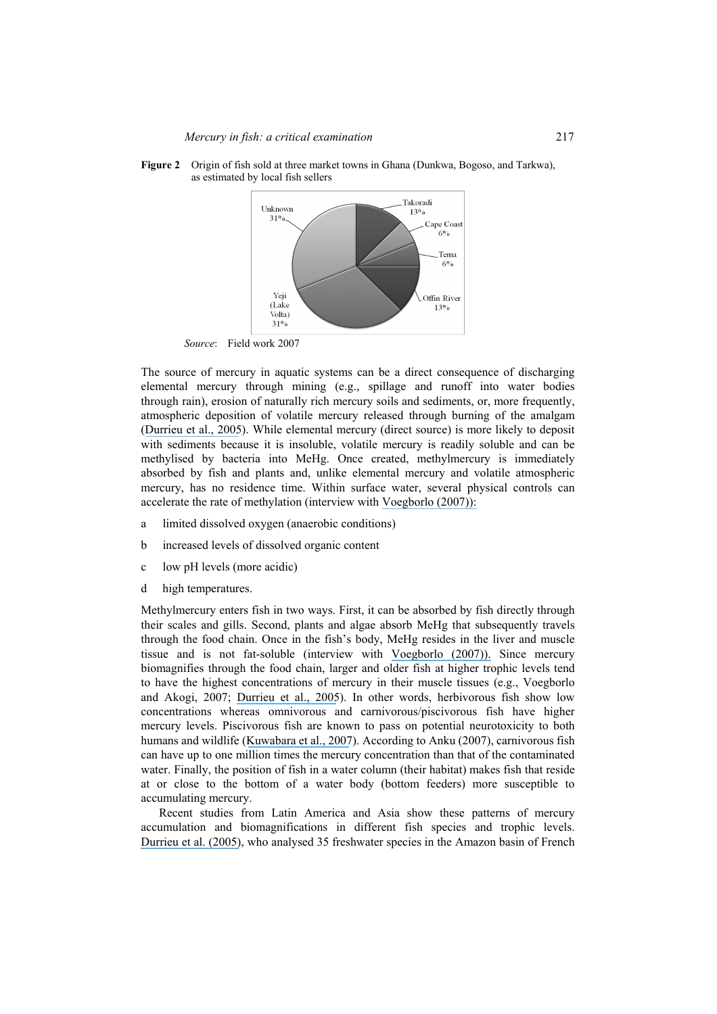

**Figure 2** Origin of fish sold at three market towns in Ghana (Dunkwa, Bogoso, and Tarkwa), as estimated by local fish sellers

*Source*: Field work 2007

The source of mercury in aquatic systems can be a direct consequence of discharging elemental mercury through mining (e.g., spillage and runoff into water bodies through rain), erosion of naturally rich mercury soils and sediments, or, more frequently, atmospheric deposition of volatile mercury released through burning of the amalgam ([Durrieu et al., 2005](https://www.researchgate.net/publication/8138041_Goldmining_and_mercury_contamination_of_the_piscivorous_fish_Hoplias_aimara_in_French_Guiana_Amazon_Basin?el=1_x_8&enrichId=rgreq-ae885e68416dd3318b9ce574a71792fe-XXX&enrichSource=Y292ZXJQYWdlOzI0OTkyMDQ2NjtBUzoxNTYwODYwODY2NzIzODRAMTQxNDIyNTIzMTc5MA==)). While elemental mercury (direct source) is more likely to deposit with sediments because it is insoluble, volatile mercury is readily soluble and can be methylised by bacteria into MeHg. Once created, methylmercury is immediately absorbed by fish and plants and, unlike elemental mercury and volatile atmospheric mercury, has no residence time. Within surface water, several physical controls can accelerate the rate of methylation (interview with [Voegborlo \(2007\)\):](https://www.researchgate.net/publication/222257401_Determination_of_Mercury_in_Fish_by_Cold_Vapour_Atomic_Absorption_Spectrometry_Using_an_Automatic_Mercury_Analyzer?el=1_x_8&enrichId=rgreq-ae885e68416dd3318b9ce574a71792fe-XXX&enrichSource=Y292ZXJQYWdlOzI0OTkyMDQ2NjtBUzoxNTYwODYwODY2NzIzODRAMTQxNDIyNTIzMTc5MA==) 

- a limited dissolved oxygen (anaerobic conditions)
- b increased levels of dissolved organic content
- c low pH levels (more acidic)
- d high temperatures.

Methylmercury enters fish in two ways. First, it can be absorbed by fish directly through their scales and gills. Second, plants and algae absorb MeHg that subsequently travels through the food chain. Once in the fish's body, MeHg resides in the liver and muscle tissue and is not fat-soluble (interview with [Voegborlo \(2007\)\).](https://www.researchgate.net/publication/222257401_Determination_of_Mercury_in_Fish_by_Cold_Vapour_Atomic_Absorption_Spectrometry_Using_an_Automatic_Mercury_Analyzer?el=1_x_8&enrichId=rgreq-ae885e68416dd3318b9ce574a71792fe-XXX&enrichSource=Y292ZXJQYWdlOzI0OTkyMDQ2NjtBUzoxNTYwODYwODY2NzIzODRAMTQxNDIyNTIzMTc5MA==) Since mercury biomagnifies through the food chain, larger and older fish at higher trophic levels tend to have the highest concentrations of mercury in their muscle tissues (e.g., Voegborlo and Akogi, 2007; [Durrieu et al., 2005](https://www.researchgate.net/publication/8138041_Goldmining_and_mercury_contamination_of_the_piscivorous_fish_Hoplias_aimara_in_French_Guiana_Amazon_Basin?el=1_x_8&enrichId=rgreq-ae885e68416dd3318b9ce574a71792fe-XXX&enrichSource=Y292ZXJQYWdlOzI0OTkyMDQ2NjtBUzoxNTYwODYwODY2NzIzODRAMTQxNDIyNTIzMTc5MA==)). In other words, herbivorous fish show low concentrations whereas omnivorous and carnivorous/piscivorous fish have higher mercury levels. Piscivorous fish are known to pass on potential neurotoxicity to both humans and wildlife ([Kuwabara et al., 2007](https://www.researchgate.net/publication/6301841_Mercury_Speciation_in_Piscivorous_Fish_from_Mining-Impacted_Reservoirs?el=1_x_8&enrichId=rgreq-ae885e68416dd3318b9ce574a71792fe-XXX&enrichSource=Y292ZXJQYWdlOzI0OTkyMDQ2NjtBUzoxNTYwODYwODY2NzIzODRAMTQxNDIyNTIzMTc5MA==)). According to Anku (2007), carnivorous fish can have up to one million times the mercury concentration than that of the contaminated water. Finally, the position of fish in a water column (their habitat) makes fish that reside at or close to the bottom of a water body (bottom feeders) more susceptible to accumulating mercury.

Recent studies from Latin America and Asia show these patterns of mercury accumulation and biomagnifications in different fish species and trophic levels. [Durrieu et al. \(2005\)](https://www.researchgate.net/publication/8138041_Goldmining_and_mercury_contamination_of_the_piscivorous_fish_Hoplias_aimara_in_French_Guiana_Amazon_Basin?el=1_x_8&enrichId=rgreq-ae885e68416dd3318b9ce574a71792fe-XXX&enrichSource=Y292ZXJQYWdlOzI0OTkyMDQ2NjtBUzoxNTYwODYwODY2NzIzODRAMTQxNDIyNTIzMTc5MA==), who analysed 35 freshwater species in the Amazon basin of French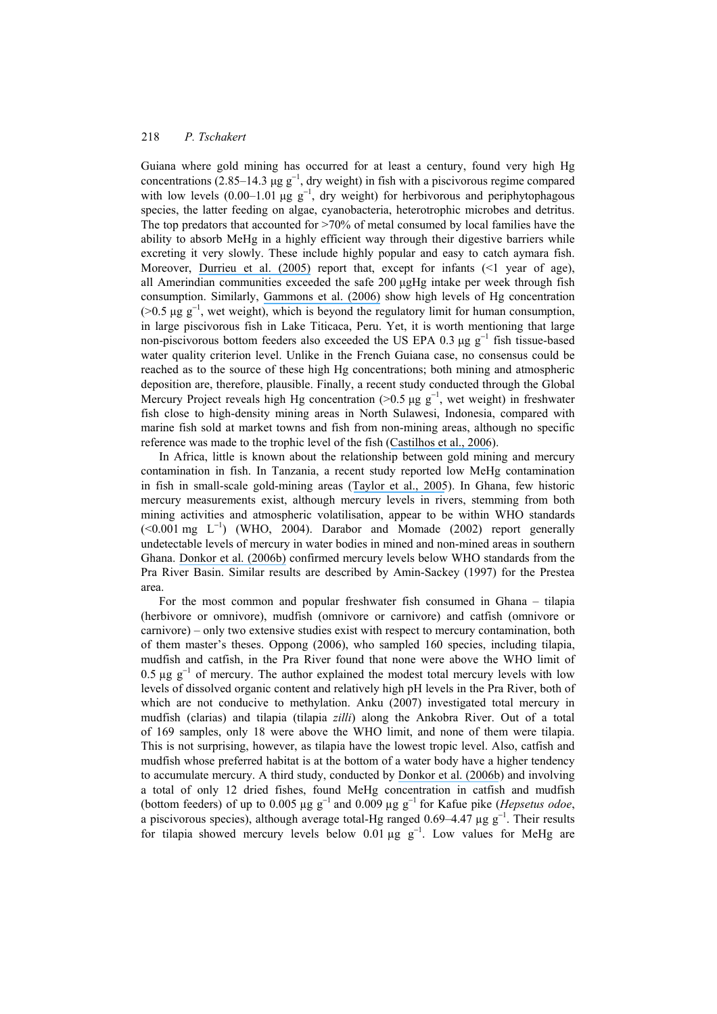Guiana where gold mining has occurred for at least a century, found very high Hg concentrations (2.85–14.3 µg  $g^{-1}$ , dry weight) in fish with a piscivorous regime compared with low levels (0.00–1.01 µg  $g^{-1}$ , dry weight) for herbivorous and periphytophagous species, the latter feeding on algae, cyanobacteria, heterotrophic microbes and detritus. The top predators that accounted for >70% of metal consumed by local families have the ability to absorb MeHg in a highly efficient way through their digestive barriers while excreting it very slowly. These include highly popular and easy to catch aymara fish. Moreover, [Durrieu et al. \(2005\)](https://www.researchgate.net/publication/8138041_Goldmining_and_mercury_contamination_of_the_piscivorous_fish_Hoplias_aimara_in_French_Guiana_Amazon_Basin?el=1_x_8&enrichId=rgreq-ae885e68416dd3318b9ce574a71792fe-XXX&enrichSource=Y292ZXJQYWdlOzI0OTkyMDQ2NjtBUzoxNTYwODYwODY2NzIzODRAMTQxNDIyNTIzMTc5MA==) report that, except for infants (<1 year of age), all Amerindian communities exceeded the safe 200 µgHg intake per week through fish consumption. Similarly, [Gammons et al. \(2006\)](https://www.researchgate.net/publication/7497484_Mercury_concentrations_of_fish_river_water_and_sediment_in_the_Rio_Ramis-Lake_Titicaca_watershed_Peru?el=1_x_8&enrichId=rgreq-ae885e68416dd3318b9ce574a71792fe-XXX&enrichSource=Y292ZXJQYWdlOzI0OTkyMDQ2NjtBUzoxNTYwODYwODY2NzIzODRAMTQxNDIyNTIzMTc5MA==) show high levels of Hg concentration  $($ >0.5 µg g<sup>-1</sup>, wet weight), which is beyond the regulatory limit for human consumption, in large piscivorous fish in Lake Titicaca, Peru. Yet, it is worth mentioning that large non-piscivorous bottom feeders also exceeded the US EPA 0.3  $\mu$ g g<sup>-1</sup> fish tissue-based water quality criterion level. Unlike in the French Guiana case, no consensus could be reached as to the source of these high Hg concentrations; both mining and atmospheric deposition are, therefore, plausible. Finally, a recent study conducted through the Global Mercury Project reveals high Hg concentration (>0.5 µg  $g^{-1}$ , wet weight) in freshwater fish close to high-density mining areas in North Sulawesi, Indonesia, compared with marine fish sold at market towns and fish from non-mining areas, although no specific reference was made to the trophic level of the fish ([Castilhos et al., 2006](https://www.researchgate.net/publication/7180095_Mercury_Contamination_in_Fish_from_Gold_Mining_Areas_in_Indonesia_and_Human_Health_Risk_Assessment?el=1_x_8&enrichId=rgreq-ae885e68416dd3318b9ce574a71792fe-XXX&enrichSource=Y292ZXJQYWdlOzI0OTkyMDQ2NjtBUzoxNTYwODYwODY2NzIzODRAMTQxNDIyNTIzMTc5MA==)).

In Africa, little is known about the relationship between gold mining and mercury contamination in fish. In Tanzania, a recent study reported low MeHg contamination in fish in small-scale gold-mining areas ([Taylor et al., 2005](https://www.researchgate.net/publication/7875034_Environmental_assessment_of_mercury_contamination_from_the_Rwamagasa_artisanal_gold_mining_centre_Geita_District_Tanzania?el=1_x_8&enrichId=rgreq-ae885e68416dd3318b9ce574a71792fe-XXX&enrichSource=Y292ZXJQYWdlOzI0OTkyMDQ2NjtBUzoxNTYwODYwODY2NzIzODRAMTQxNDIyNTIzMTc5MA==)). In Ghana, few historic mercury measurements exist, although mercury levels in rivers, stemming from both mining activities and atmospheric volatilisation, appear to be within WHO standards  $(< 0.001$  mg  $L^{-1}$ ) (WHO, 2004). Darabor and Momade (2002) report generally undetectable levels of mercury in water bodies in mined and non-mined areas in southern Ghana. [Donkor et al. \(2006b\)](https://www.researchgate.net/publication/7523939_Mercury_in_different_environmental_compartments_of_the_Pra_River_Basin_Ghana?el=1_x_8&enrichId=rgreq-ae885e68416dd3318b9ce574a71792fe-XXX&enrichSource=Y292ZXJQYWdlOzI0OTkyMDQ2NjtBUzoxNTYwODYwODY2NzIzODRAMTQxNDIyNTIzMTc5MA==) confirmed mercury levels below WHO standards from the Pra River Basin. Similar results are described by Amin-Sackey (1997) for the Prestea area.

For the most common and popular freshwater fish consumed in Ghana – tilapia (herbivore or omnivore), mudfish (omnivore or carnivore) and catfish (omnivore or carnivore) – only two extensive studies exist with respect to mercury contamination, both of them master's theses. Oppong (2006), who sampled 160 species, including tilapia, mudfish and catfish, in the Pra River found that none were above the WHO limit of 0.5  $\mu$ g g<sup>-1</sup> of mercury. The author explained the modest total mercury levels with low levels of dissolved organic content and relatively high pH levels in the Pra River, both of which are not conducive to methylation. Anku (2007) investigated total mercury in mudfish (clarias) and tilapia (tilapia *zilli*) along the Ankobra River. Out of a total of 169 samples, only 18 were above the WHO limit, and none of them were tilapia. This is not surprising, however, as tilapia have the lowest tropic level. Also, catfish and mudfish whose preferred habitat is at the bottom of a water body have a higher tendency to accumulate mercury. A third study, conducted by [Donkor et al. \(2006b](https://www.researchgate.net/publication/7523939_Mercury_in_different_environmental_compartments_of_the_Pra_River_Basin_Ghana?el=1_x_8&enrichId=rgreq-ae885e68416dd3318b9ce574a71792fe-XXX&enrichSource=Y292ZXJQYWdlOzI0OTkyMDQ2NjtBUzoxNTYwODYwODY2NzIzODRAMTQxNDIyNTIzMTc5MA==)) and involving a total of only 12 dried fishes, found MeHg concentration in catfish and mudfish (bottom feeders) of up to 0.005 µg g<sup>−</sup>1 and 0.009 µg g−1 for Kafue pike (*Hepsetus odoe*, a piscivorous species), although average total-Hg ranged  $0.69-4.47 \mu g g^{-1}$ . Their results for tilapia showed mercury levels below 0.01 µg  $g^{-1}$ . Low values for MeHg are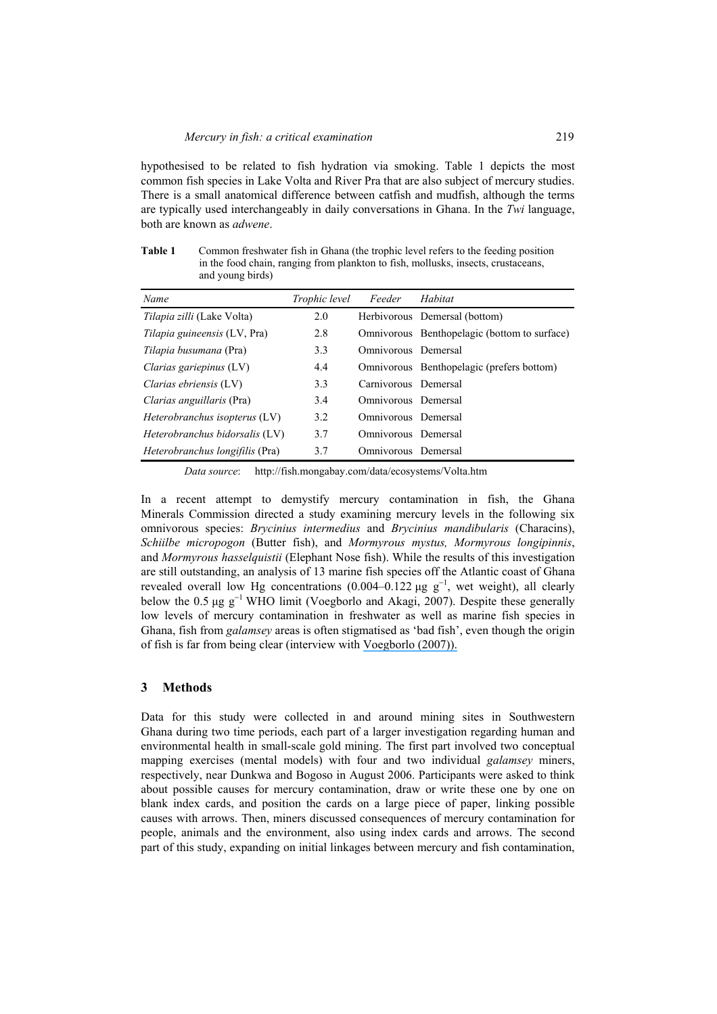hypothesised to be related to fish hydration via smoking. Table 1 depicts the most common fish species in Lake Volta and River Pra that are also subject of mercury studies. There is a small anatomical difference between catfish and mudfish, although the terms are typically used interchangeably in daily conversations in Ghana. In the *Twi* language, both are known as *adwene*.

**Table 1** Common freshwater fish in Ghana (the trophic level refers to the feeding position in the food chain, ranging from plankton to fish, mollusks, insects, crustaceans, and young birds)

| Name                              | Trophic level | Feeder               | Habitat                                      |
|-----------------------------------|---------------|----------------------|----------------------------------------------|
| <i>Tilapia zilli</i> (Lake Volta) | 2.0           |                      | Herbivorous Demersal (bottom)                |
| Tilapia guineensis (LV, Pra)      | 2.8           |                      | Omnivorous Benthopelagic (bottom to surface) |
| <i>Tilapia busumana</i> (Pra)     | 3.3           | Omnivorous Demersal  |                                              |
| Clarias gariepinus $(LV)$         | 4.4           |                      | Omnivorous Benthopelagic (prefers bottom)    |
| Clarias ebriensis (LV)            | 3.3           | Carnivorous Demersal |                                              |
| <i>Clarias anguillaris</i> (Pra)  | 3.4           | Omnivorous Demersal  |                                              |
| Heterobranchus isopterus $(LV)$   | 3.2           | Omnivorous Demersal  |                                              |
| Heterobranchus bidorsalis (LV)    | 3.7           | Omnivorous Demersal  |                                              |
| Heterobranchus longifilis (Pra)   | 3.7           | Omnivorous Demersal  |                                              |

*Data source*: http://fish.mongabay.com/data/ecosystems/Volta.htm

In a recent attempt to demystify mercury contamination in fish, the Ghana Minerals Commission directed a study examining mercury levels in the following six omnivorous species: *Brycinius intermedius* and *Brycinius mandibularis* (Characins), *Schiilbe micropogon* (Butter fish), and *Mormyrous mystus, Mormyrous longipinnis*, and *Mormyrous hasselquistii* (Elephant Nose fish). While the results of this investigation are still outstanding, an analysis of 13 marine fish species off the Atlantic coast of Ghana revealed overall low Hg concentrations (0.004–0.122 µg  $g^{-1}$ , wet weight), all clearly below the 0.5  $\mu$ g g<sup>-1</sup> WHO limit (Voegborlo and Akagi, 2007). Despite these generally low levels of mercury contamination in freshwater as well as marine fish species in Ghana, fish from *galamsey* areas is often stigmatised as 'bad fish', even though the origin of fish is far from being clear (interview with [Voegborlo \(2007\)\).](https://www.researchgate.net/publication/222257401_Determination_of_Mercury_in_Fish_by_Cold_Vapour_Atomic_Absorption_Spectrometry_Using_an_Automatic_Mercury_Analyzer?el=1_x_8&enrichId=rgreq-ae885e68416dd3318b9ce574a71792fe-XXX&enrichSource=Y292ZXJQYWdlOzI0OTkyMDQ2NjtBUzoxNTYwODYwODY2NzIzODRAMTQxNDIyNTIzMTc5MA==) 

#### **3 Methods**

Data for this study were collected in and around mining sites in Southwestern Ghana during two time periods, each part of a larger investigation regarding human and environmental health in small-scale gold mining. The first part involved two conceptual mapping exercises (mental models) with four and two individual *galamsey* miners, respectively, near Dunkwa and Bogoso in August 2006. Participants were asked to think about possible causes for mercury contamination, draw or write these one by one on blank index cards, and position the cards on a large piece of paper, linking possible causes with arrows. Then, miners discussed consequences of mercury contamination for people, animals and the environment, also using index cards and arrows. The second part of this study, expanding on initial linkages between mercury and fish contamination,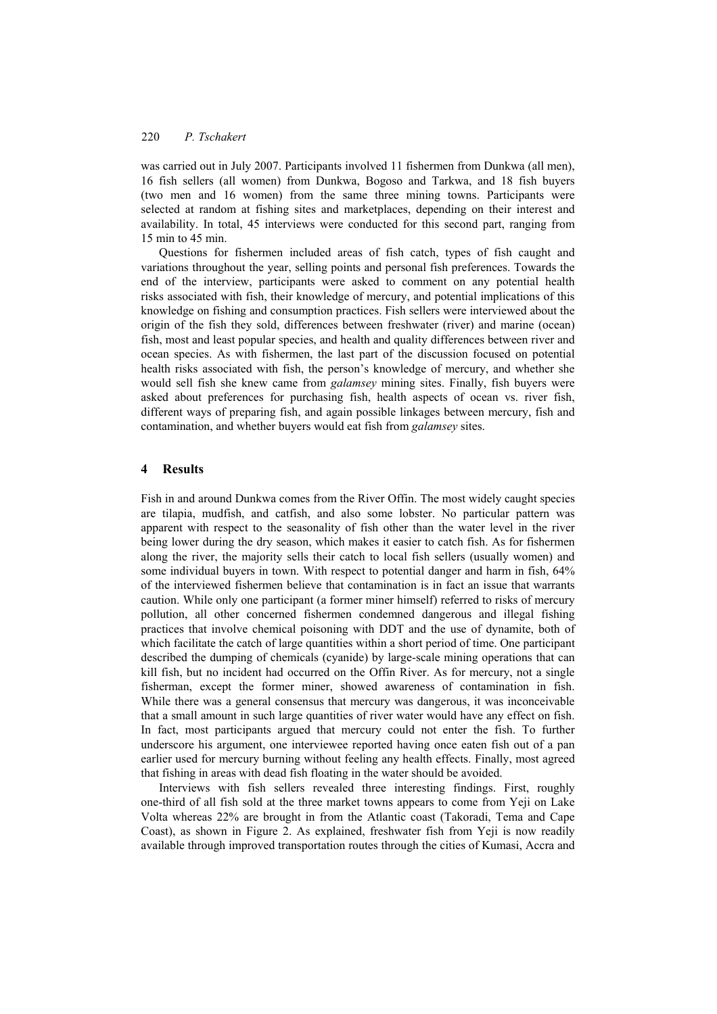was carried out in July 2007. Participants involved 11 fishermen from Dunkwa (all men), 16 fish sellers (all women) from Dunkwa, Bogoso and Tarkwa, and 18 fish buyers (two men and 16 women) from the same three mining towns. Participants were selected at random at fishing sites and marketplaces, depending on their interest and availability. In total, 45 interviews were conducted for this second part, ranging from 15 min to 45 min.

Questions for fishermen included areas of fish catch, types of fish caught and variations throughout the year, selling points and personal fish preferences. Towards the end of the interview, participants were asked to comment on any potential health risks associated with fish, their knowledge of mercury, and potential implications of this knowledge on fishing and consumption practices. Fish sellers were interviewed about the origin of the fish they sold, differences between freshwater (river) and marine (ocean) fish, most and least popular species, and health and quality differences between river and ocean species. As with fishermen, the last part of the discussion focused on potential health risks associated with fish, the person's knowledge of mercury, and whether she would sell fish she knew came from *galamsey* mining sites. Finally, fish buyers were asked about preferences for purchasing fish, health aspects of ocean vs. river fish, different ways of preparing fish, and again possible linkages between mercury, fish and contamination, and whether buyers would eat fish from *galamsey* sites.

#### **4 Results**

Fish in and around Dunkwa comes from the River Offin. The most widely caught species are tilapia, mudfish, and catfish, and also some lobster. No particular pattern was apparent with respect to the seasonality of fish other than the water level in the river being lower during the dry season, which makes it easier to catch fish. As for fishermen along the river, the majority sells their catch to local fish sellers (usually women) and some individual buyers in town. With respect to potential danger and harm in fish, 64% of the interviewed fishermen believe that contamination is in fact an issue that warrants caution. While only one participant (a former miner himself) referred to risks of mercury pollution, all other concerned fishermen condemned dangerous and illegal fishing practices that involve chemical poisoning with DDT and the use of dynamite, both of which facilitate the catch of large quantities within a short period of time. One participant described the dumping of chemicals (cyanide) by large-scale mining operations that can kill fish, but no incident had occurred on the Offin River. As for mercury, not a single fisherman, except the former miner, showed awareness of contamination in fish. While there was a general consensus that mercury was dangerous, it was inconceivable that a small amount in such large quantities of river water would have any effect on fish. In fact, most participants argued that mercury could not enter the fish. To further underscore his argument, one interviewee reported having once eaten fish out of a pan earlier used for mercury burning without feeling any health effects. Finally, most agreed that fishing in areas with dead fish floating in the water should be avoided.

Interviews with fish sellers revealed three interesting findings. First, roughly one-third of all fish sold at the three market towns appears to come from Yeji on Lake Volta whereas 22% are brought in from the Atlantic coast (Takoradi, Tema and Cape Coast), as shown in Figure 2. As explained, freshwater fish from Yeji is now readily available through improved transportation routes through the cities of Kumasi, Accra and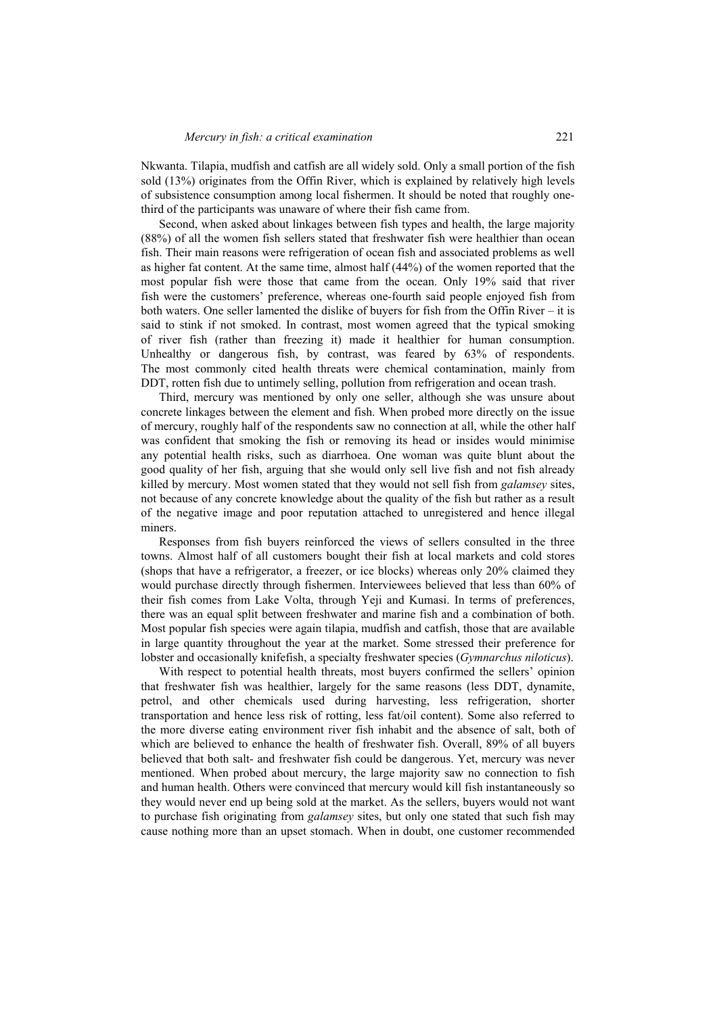Nkwanta. Tilapia, mudfish and catfish are all widely sold. Only a small portion of the fish sold (13%) originates from the Offin River, which is explained by relatively high levels of subsistence consumption among local fishermen. It should be noted that roughly onethird of the participants was unaware of where their fish came from.

Second, when asked about linkages between fish types and health, the large majority (88%) of all the women fish sellers stated that freshwater fish were healthier than ocean fish. Their main reasons were refrigeration of ocean fish and associated problems as well as higher fat content. At the same time, almost half (44%) of the women reported that the most popular fish were those that came from the ocean. Only 19% said that river fish were the customers' preference, whereas one-fourth said people enjoyed fish from both waters. One seller lamented the dislike of buyers for fish from the Offin River – it is said to stink if not smoked. In contrast, most women agreed that the typical smoking of river fish (rather than freezing it) made it healthier for human consumption. Unhealthy or dangerous fish, by contrast, was feared by 63% of respondents. The most commonly cited health threats were chemical contamination, mainly from DDT, rotten fish due to untimely selling, pollution from refrigeration and ocean trash.

Third, mercury was mentioned by only one seller, although she was unsure about concrete linkages between the element and fish. When probed more directly on the issue of mercury, roughly half of the respondents saw no connection at all, while the other half was confident that smoking the fish or removing its head or insides would minimise any potential health risks, such as diarrhoea. One woman was quite blunt about the good quality of her fish, arguing that she would only sell live fish and not fish already killed by mercury. Most women stated that they would not sell fish from *galamsey* sites, not because of any concrete knowledge about the quality of the fish but rather as a result of the negative image and poor reputation attached to unregistered and hence illegal miners.

Responses from fish buyers reinforced the views of sellers consulted in the three towns. Almost half of all customers bought their fish at local markets and cold stores (shops that have a refrigerator, a freezer, or ice blocks) whereas only 20% claimed they would purchase directly through fishermen. Interviewees believed that less than 60% of their fish comes from Lake Volta, through Yeji and Kumasi. In terms of preferences, there was an equal split between freshwater and marine fish and a combination of both. Most popular fish species were again tilapia, mudfish and catfish, those that are available in large quantity throughout the year at the market. Some stressed their preference for lobster and occasionally knifefish, a specialty freshwater species (*Gymnarchus niloticus*).

With respect to potential health threats, most buyers confirmed the sellers' opinion that freshwater fish was healthier, largely for the same reasons (less DDT, dynamite, petrol, and other chemicals used during harvesting, less refrigeration, shorter transportation and hence less risk of rotting, less fat/oil content). Some also referred to the more diverse eating environment river fish inhabit and the absence of salt, both of which are believed to enhance the health of freshwater fish. Overall, 89% of all buyers believed that both salt- and freshwater fish could be dangerous. Yet, mercury was never mentioned. When probed about mercury, the large majority saw no connection to fish and human health. Others were convinced that mercury would kill fish instantaneously so they would never end up being sold at the market. As the sellers, buyers would not want to purchase fish originating from *galamsey* sites, but only one stated that such fish may cause nothing more than an upset stomach. When in doubt, one customer recommended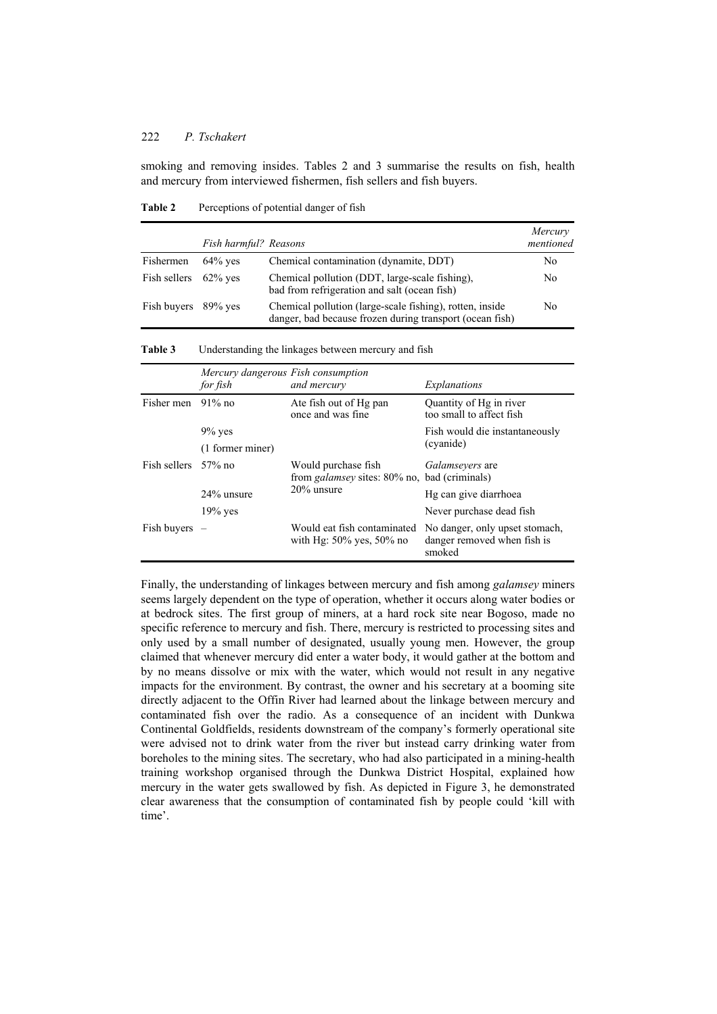smoking and removing insides. Tables 2 and 3 summarise the results on fish, health and mercury from interviewed fishermen, fish sellers and fish buyers.

Table 2 Perceptions of potential danger of fish

|                         | Fish harmful? Reasons |                                                                                                                      | Mercury<br>mentioned |
|-------------------------|-----------------------|----------------------------------------------------------------------------------------------------------------------|----------------------|
| Fishermen               | $64\%$ yes            | Chemical contamination (dynamite, DDT)                                                                               | No.                  |
| Fish sellers $62\%$ ves |                       | Chemical pollution (DDT, large-scale fishing),<br>bad from refrigeration and salt (ocean fish)                       | N <sub>0</sub>       |
| Fish buyers 89% yes     |                       | Chemical pollution (large-scale fishing), rotten, inside<br>danger, bad because frozen during transport (ocean fish) | No.                  |

**Table 3** Understanding the linkages between mercury and fish

|                      | Mercury dangerous Fish consumption<br>for fish | and mercury                                                                              | Explanations                                                            |
|----------------------|------------------------------------------------|------------------------------------------------------------------------------------------|-------------------------------------------------------------------------|
| Fisher men $91\%$ no |                                                | Ate fish out of Hg pan<br>once and was fine                                              | Quantity of Hg in river<br>too small to affect fish                     |
|                      | $9\%$ yes                                      |                                                                                          | Fish would die instantaneously                                          |
|                      | (1 former miner)                               |                                                                                          | (cyanide)                                                               |
| Fish sellers 57% no  |                                                | Would purchase fish<br>from <i>galamsey</i> sites: 80% no, bad (criminals)<br>20% unsure | <i>Galamsevers</i> are                                                  |
|                      | 24% unsure                                     |                                                                                          | Hg can give diarrhoea                                                   |
|                      | $19\%$ yes                                     | Never purchase dead fish                                                                 |                                                                         |
| Fish buyers          |                                                | Would eat fish contaminated<br>with Hg: $50\%$ yes, $50\%$ no                            | No danger, only upset stomach,<br>danger removed when fish is<br>smoked |

Finally, the understanding of linkages between mercury and fish among *galamsey* miners seems largely dependent on the type of operation, whether it occurs along water bodies or at bedrock sites. The first group of miners, at a hard rock site near Bogoso, made no specific reference to mercury and fish. There, mercury is restricted to processing sites and only used by a small number of designated, usually young men. However, the group claimed that whenever mercury did enter a water body, it would gather at the bottom and by no means dissolve or mix with the water, which would not result in any negative impacts for the environment. By contrast, the owner and his secretary at a booming site directly adjacent to the Offin River had learned about the linkage between mercury and contaminated fish over the radio. As a consequence of an incident with Dunkwa Continental Goldfields, residents downstream of the company's formerly operational site were advised not to drink water from the river but instead carry drinking water from boreholes to the mining sites. The secretary, who had also participated in a mining-health training workshop organised through the Dunkwa District Hospital, explained how mercury in the water gets swallowed by fish. As depicted in Figure 3, he demonstrated clear awareness that the consumption of contaminated fish by people could 'kill with time'.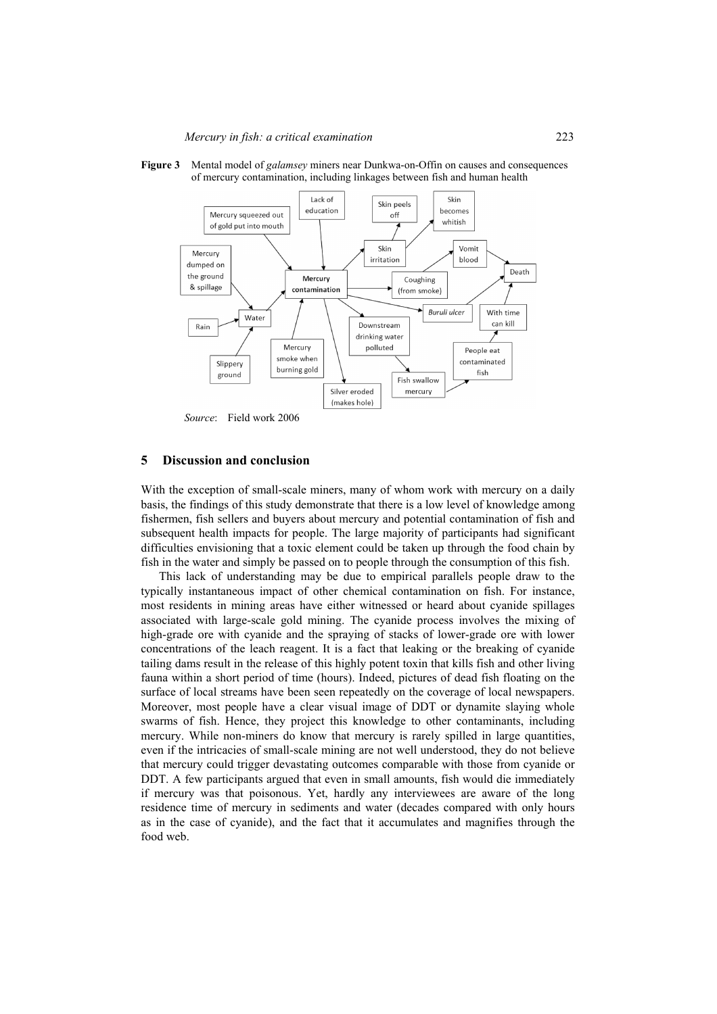



#### **5 Discussion and conclusion**

With the exception of small-scale miners, many of whom work with mercury on a daily basis, the findings of this study demonstrate that there is a low level of knowledge among fishermen, fish sellers and buyers about mercury and potential contamination of fish and subsequent health impacts for people. The large majority of participants had significant difficulties envisioning that a toxic element could be taken up through the food chain by fish in the water and simply be passed on to people through the consumption of this fish.

This lack of understanding may be due to empirical parallels people draw to the typically instantaneous impact of other chemical contamination on fish. For instance, most residents in mining areas have either witnessed or heard about cyanide spillages associated with large-scale gold mining. The cyanide process involves the mixing of high-grade ore with cyanide and the spraying of stacks of lower-grade ore with lower concentrations of the leach reagent. It is a fact that leaking or the breaking of cyanide tailing dams result in the release of this highly potent toxin that kills fish and other living fauna within a short period of time (hours). Indeed, pictures of dead fish floating on the surface of local streams have been seen repeatedly on the coverage of local newspapers. Moreover, most people have a clear visual image of DDT or dynamite slaying whole swarms of fish. Hence, they project this knowledge to other contaminants, including mercury. While non-miners do know that mercury is rarely spilled in large quantities, even if the intricacies of small-scale mining are not well understood, they do not believe that mercury could trigger devastating outcomes comparable with those from cyanide or DDT. A few participants argued that even in small amounts, fish would die immediately if mercury was that poisonous. Yet, hardly any interviewees are aware of the long residence time of mercury in sediments and water (decades compared with only hours as in the case of cyanide), and the fact that it accumulates and magnifies through the food web.

*Source*: Field work 2006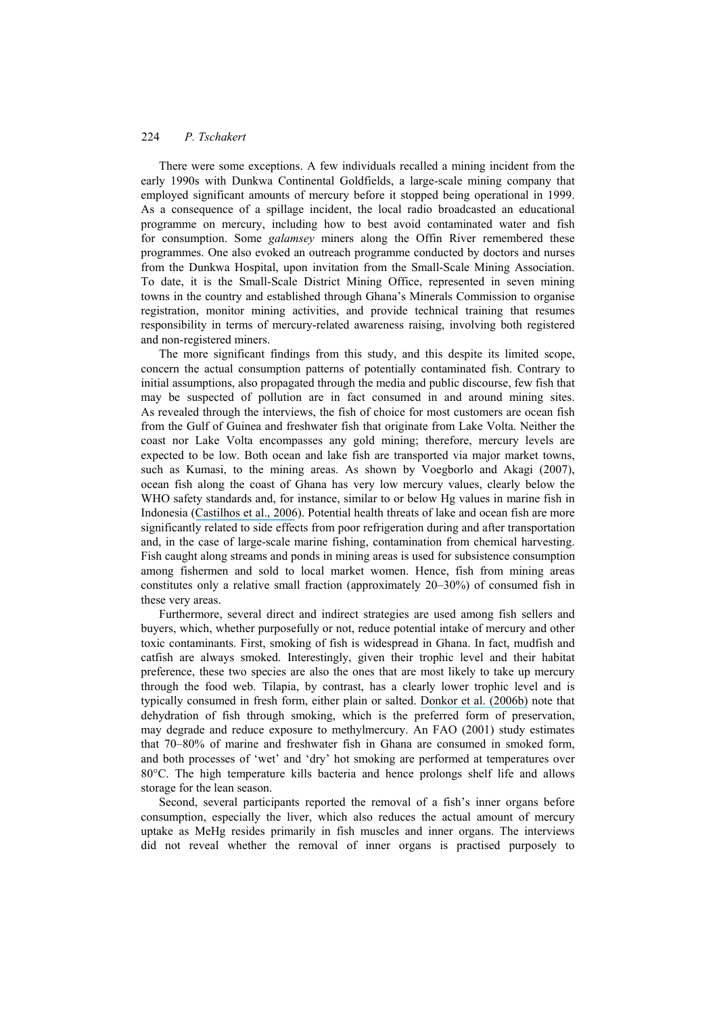There were some exceptions. A few individuals recalled a mining incident from the early 1990s with Dunkwa Continental Goldfields, a large-scale mining company that employed significant amounts of mercury before it stopped being operational in 1999. As a consequence of a spillage incident, the local radio broadcasted an educational programme on mercury, including how to best avoid contaminated water and fish for consumption. Some *galamsey* miners along the Offin River remembered these programmes. One also evoked an outreach programme conducted by doctors and nurses from the Dunkwa Hospital, upon invitation from the Small-Scale Mining Association. To date, it is the Small-Scale District Mining Office, represented in seven mining towns in the country and established through Ghana's Minerals Commission to organise registration, monitor mining activities, and provide technical training that resumes responsibility in terms of mercury-related awareness raising, involving both registered and non-registered miners.

The more significant findings from this study, and this despite its limited scope, concern the actual consumption patterns of potentially contaminated fish. Contrary to initial assumptions, also propagated through the media and public discourse, few fish that may be suspected of pollution are in fact consumed in and around mining sites. As revealed through the interviews, the fish of choice for most customers are ocean fish from the Gulf of Guinea and freshwater fish that originate from Lake Volta. Neither the coast nor Lake Volta encompasses any gold mining; therefore, mercury levels are expected to be low. Both ocean and lake fish are transported via major market towns, such as Kumasi, to the mining areas. As shown by Voegborlo and Akagi (2007), ocean fish along the coast of Ghana has very low mercury values, clearly below the WHO safety standards and, for instance, similar to or below Hg values in marine fish in Indonesia ([Castilhos et al., 2006](https://www.researchgate.net/publication/7180095_Mercury_Contamination_in_Fish_from_Gold_Mining_Areas_in_Indonesia_and_Human_Health_Risk_Assessment?el=1_x_8&enrichId=rgreq-ae885e68416dd3318b9ce574a71792fe-XXX&enrichSource=Y292ZXJQYWdlOzI0OTkyMDQ2NjtBUzoxNTYwODYwODY2NzIzODRAMTQxNDIyNTIzMTc5MA==)). Potential health threats of lake and ocean fish are more significantly related to side effects from poor refrigeration during and after transportation and, in the case of large-scale marine fishing, contamination from chemical harvesting. Fish caught along streams and ponds in mining areas is used for subsistence consumption among fishermen and sold to local market women. Hence, fish from mining areas constitutes only a relative small fraction (approximately 20–30%) of consumed fish in these very areas.

Furthermore, several direct and indirect strategies are used among fish sellers and buyers, which, whether purposefully or not, reduce potential intake of mercury and other toxic contaminants. First, smoking of fish is widespread in Ghana. In fact, mudfish and catfish are always smoked. Interestingly, given their trophic level and their habitat preference, these two species are also the ones that are most likely to take up mercury through the food web. Tilapia, by contrast, has a clearly lower trophic level and is typically consumed in fresh form, either plain or salted. [Donkor et al. \(2006b\)](https://www.researchgate.net/publication/7523939_Mercury_in_different_environmental_compartments_of_the_Pra_River_Basin_Ghana?el=1_x_8&enrichId=rgreq-ae885e68416dd3318b9ce574a71792fe-XXX&enrichSource=Y292ZXJQYWdlOzI0OTkyMDQ2NjtBUzoxNTYwODYwODY2NzIzODRAMTQxNDIyNTIzMTc5MA==) note that dehydration of fish through smoking, which is the preferred form of preservation, may degrade and reduce exposure to methylmercury. An FAO (2001) study estimates that 70–80% of marine and freshwater fish in Ghana are consumed in smoked form, and both processes of 'wet' and 'dry' hot smoking are performed at temperatures over 80°C. The high temperature kills bacteria and hence prolongs shelf life and allows storage for the lean season.

Second, several participants reported the removal of a fish's inner organs before consumption, especially the liver, which also reduces the actual amount of mercury uptake as MeHg resides primarily in fish muscles and inner organs. The interviews did not reveal whether the removal of inner organs is practised purposely to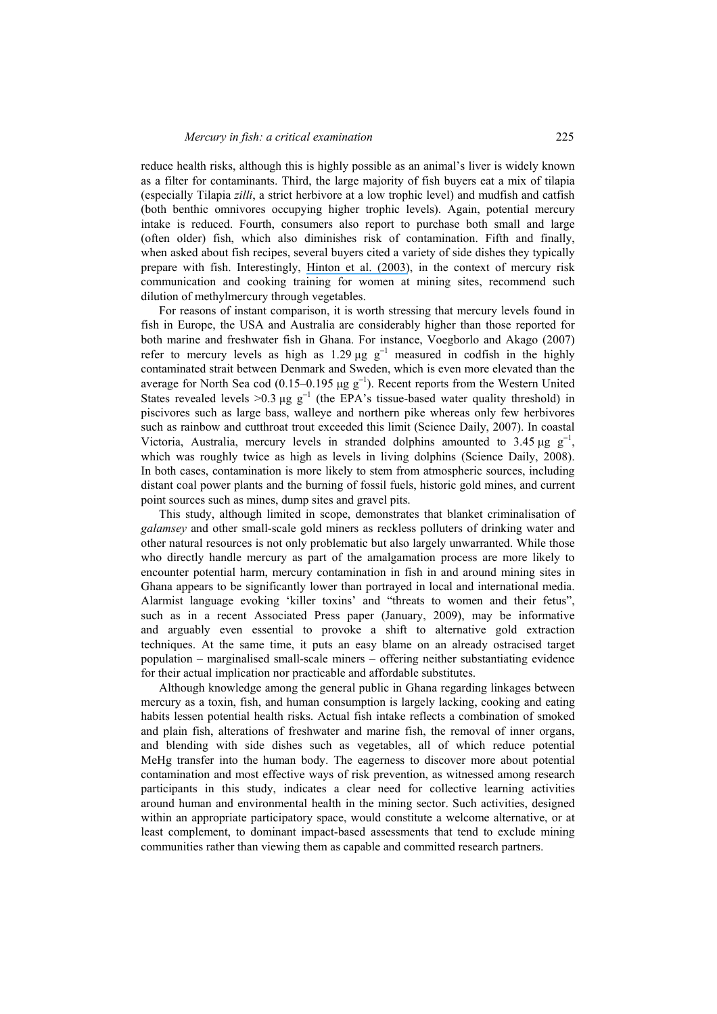reduce health risks, although this is highly possible as an animal's liver is widely known as a filter for contaminants. Third, the large majority of fish buyers eat a mix of tilapia (especially Tilapia *zilli*, a strict herbivore at a low trophic level) and mudfish and catfish (both benthic omnivores occupying higher trophic levels). Again, potential mercury intake is reduced. Fourth, consumers also report to purchase both small and large (often older) fish, which also diminishes risk of contamination. Fifth and finally, when asked about fish recipes, several buyers cited a variety of side dishes they typically prepare with fish. Interestingly, [Hinton et al. \(2003\)](https://www.researchgate.net/publication/45688741_Women_mercury_and_artisanal_gold_mining_Risk_communication_and_mitigation?el=1_x_8&enrichId=rgreq-ae885e68416dd3318b9ce574a71792fe-XXX&enrichSource=Y292ZXJQYWdlOzI0OTkyMDQ2NjtBUzoxNTYwODYwODY2NzIzODRAMTQxNDIyNTIzMTc5MA==), in the context of mercury risk communication and cooking training for women at mining sites, recommend such dilution of methylmercury through vegetables.

For reasons of instant comparison, it is worth stressing that mercury levels found in fish in Europe, the USA and Australia are considerably higher than those reported for both marine and freshwater fish in Ghana. For instance, Voegborlo and Akago (2007) refer to mercury levels as high as  $1.29 \mu g g^{-1}$  measured in codfish in the highly contaminated strait between Denmark and Sweden, which is even more elevated than the average for North Sea cod (0.15–0.195 µg  $g^{-1}$ ). Recent reports from the Western United States revealed levels >0.3 µg  $g^{-1}$  (the EPA's tissue-based water quality threshold) in piscivores such as large bass, walleye and northern pike whereas only few herbivores such as rainbow and cutthroat trout exceeded this limit (Science Daily, 2007). In coastal Victoria, Australia, mercury levels in stranded dolphins amounted to 3.45 µg  $g^{-1}$ , which was roughly twice as high as levels in living dolphins (Science Daily, 2008). In both cases, contamination is more likely to stem from atmospheric sources, including distant coal power plants and the burning of fossil fuels, historic gold mines, and current point sources such as mines, dump sites and gravel pits.

This study, although limited in scope, demonstrates that blanket criminalisation of *galamsey* and other small-scale gold miners as reckless polluters of drinking water and other natural resources is not only problematic but also largely unwarranted. While those who directly handle mercury as part of the amalgamation process are more likely to encounter potential harm, mercury contamination in fish in and around mining sites in Ghana appears to be significantly lower than portrayed in local and international media. Alarmist language evoking 'killer toxins' and "threats to women and their fetus", such as in a recent Associated Press paper (January, 2009), may be informative and arguably even essential to provoke a shift to alternative gold extraction techniques. At the same time, it puts an easy blame on an already ostracised target population – marginalised small-scale miners – offering neither substantiating evidence for their actual implication nor practicable and affordable substitutes.

Although knowledge among the general public in Ghana regarding linkages between mercury as a toxin, fish, and human consumption is largely lacking, cooking and eating habits lessen potential health risks. Actual fish intake reflects a combination of smoked and plain fish, alterations of freshwater and marine fish, the removal of inner organs, and blending with side dishes such as vegetables, all of which reduce potential MeHg transfer into the human body. The eagerness to discover more about potential contamination and most effective ways of risk prevention, as witnessed among research participants in this study, indicates a clear need for collective learning activities around human and environmental health in the mining sector. Such activities, designed within an appropriate participatory space, would constitute a welcome alternative, or at least complement, to dominant impact-based assessments that tend to exclude mining communities rather than viewing them as capable and committed research partners.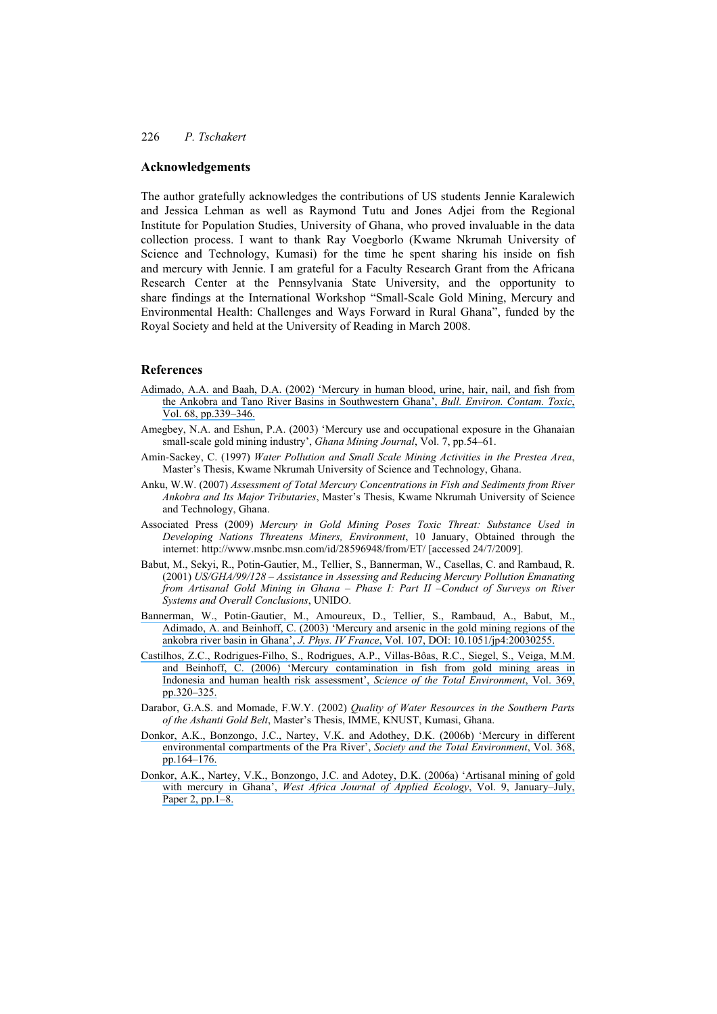#### **Acknowledgements**

The author gratefully acknowledges the contributions of US students Jennie Karalewich and Jessica Lehman as well as Raymond Tutu and Jones Adjei from the Regional Institute for Population Studies, University of Ghana, who proved invaluable in the data collection process. I want to thank Ray Voegborlo (Kwame Nkrumah University of Science and Technology, Kumasi) for the time he spent sharing his inside on fish and mercury with Jennie. I am grateful for a Faculty Research Grant from the Africana Research Center at the Pennsylvania State University, and the opportunity to share findings at the International Workshop "Small-Scale Gold Mining, Mercury and Environmental Health: Challenges and Ways Forward in Rural Ghana", funded by the Royal Society and held at the University of Reading in March 2008.

#### **References**

- [Adimado, A.A. and Baah, D.A. \(2002\) 'Mercury in human blood, urine, hair, nail, and fish from](https://www.researchgate.net/publication/11376379_Mercury_in_Human_Blood_Urine_Hair_Nail_and_Fish_from_the_Ankobra_and_Tano_River_Basins_in_Southwestern_Ghana?el=1_x_8&enrichId=rgreq-ae885e68416dd3318b9ce574a71792fe-XXX&enrichSource=Y292ZXJQYWdlOzI0OTkyMDQ2NjtBUzoxNTYwODYwODY2NzIzODRAMTQxNDIyNTIzMTc5MA==)  [the Ankobra and Tano River Basins in Southwestern Ghana',](https://www.researchgate.net/publication/11376379_Mercury_in_Human_Blood_Urine_Hair_Nail_and_Fish_from_the_Ankobra_and_Tano_River_Basins_in_Southwestern_Ghana?el=1_x_8&enrichId=rgreq-ae885e68416dd3318b9ce574a71792fe-XXX&enrichSource=Y292ZXJQYWdlOzI0OTkyMDQ2NjtBUzoxNTYwODYwODY2NzIzODRAMTQxNDIyNTIzMTc5MA==) *Bull. Environ. Contam. Toxic*, [Vol. 68, pp.339–346.](https://www.researchgate.net/publication/11376379_Mercury_in_Human_Blood_Urine_Hair_Nail_and_Fish_from_the_Ankobra_and_Tano_River_Basins_in_Southwestern_Ghana?el=1_x_8&enrichId=rgreq-ae885e68416dd3318b9ce574a71792fe-XXX&enrichSource=Y292ZXJQYWdlOzI0OTkyMDQ2NjtBUzoxNTYwODYwODY2NzIzODRAMTQxNDIyNTIzMTc5MA==)
- Amegbey, N.A. and Eshun, P.A. (2003) 'Mercury use and occupational exposure in the Ghanaian small-scale gold mining industry', *Ghana Mining Journal*, Vol. 7, pp.54–61.
- Amin-Sackey, C. (1997) *Water Pollution and Small Scale Mining Activities in the Prestea Area*, Master's Thesis, Kwame Nkrumah University of Science and Technology, Ghana.
- Anku, W.W. (2007) *Assessment of Total Mercury Concentrations in Fish and Sediments from River Ankobra and Its Major Tributaries*, Master's Thesis, Kwame Nkrumah University of Science and Technology, Ghana.
- Associated Press (2009) *Mercury in Gold Mining Poses Toxic Threat: Substance Used in Developing Nations Threatens Miners, Environment*, 10 January, Obtained through the internet: http://www.msnbc.msn.com/id/28596948/from/ET/ [accessed 24/7/2009].
- Babut, M., Sekyi, R., Potin-Gautier, M., Tellier, S., Bannerman, W., Casellas, C. and Rambaud, R. (2001) *US/GHA/99/128 – Assistance in Assessing and Reducing Mercury Pollution Emanating from Artisanal Gold Mining in Ghana – Phase I: Part II –Conduct of Surveys on River Systems and Overall Conclusions*, UNIDO.
- [Bannerman, W., Potin-Gautier, M., Amoureux, D., Tellier, S., Rambaud, A., Babut, M.,](https://www.researchgate.net/publication/215898701_Mercury_and_arsenic_in_the_gold_mining_regions_of_the_Ankobra_River_basin_in_Ghana?el=1_x_8&enrichId=rgreq-ae885e68416dd3318b9ce574a71792fe-XXX&enrichSource=Y292ZXJQYWdlOzI0OTkyMDQ2NjtBUzoxNTYwODYwODY2NzIzODRAMTQxNDIyNTIzMTc5MA==) [Adimado, A. and Beinhoff, C. \(2003\) 'Mercury and arsenic in the gold mining regions of the](https://www.researchgate.net/publication/215898701_Mercury_and_arsenic_in_the_gold_mining_regions_of_the_Ankobra_River_basin_in_Ghana?el=1_x_8&enrichId=rgreq-ae885e68416dd3318b9ce574a71792fe-XXX&enrichSource=Y292ZXJQYWdlOzI0OTkyMDQ2NjtBUzoxNTYwODYwODY2NzIzODRAMTQxNDIyNTIzMTc5MA==) ankobra river basin in Ghana', *J. Phys. IV France*[, Vol. 107, DOI: 10.1051/jp4:20030255.](https://www.researchgate.net/publication/215898701_Mercury_and_arsenic_in_the_gold_mining_regions_of_the_Ankobra_River_basin_in_Ghana?el=1_x_8&enrichId=rgreq-ae885e68416dd3318b9ce574a71792fe-XXX&enrichSource=Y292ZXJQYWdlOzI0OTkyMDQ2NjtBUzoxNTYwODYwODY2NzIzODRAMTQxNDIyNTIzMTc5MA==)
- [Castilhos, Z.C., Rodrigues-Filho, S., Rodrigues, A.P., Villas-Bôas, R.C., Siegel, S., Veiga, M.M.](https://www.researchgate.net/publication/7180095_Mercury_Contamination_in_Fish_from_Gold_Mining_Areas_in_Indonesia_and_Human_Health_Risk_Assessment?el=1_x_8&enrichId=rgreq-ae885e68416dd3318b9ce574a71792fe-XXX&enrichSource=Y292ZXJQYWdlOzI0OTkyMDQ2NjtBUzoxNTYwODYwODY2NzIzODRAMTQxNDIyNTIzMTc5MA==) [and Beinhoff, C. \(2006\) 'Mercury contamination in fish from gold mining areas in](https://www.researchgate.net/publication/7180095_Mercury_Contamination_in_Fish_from_Gold_Mining_Areas_in_Indonesia_and_Human_Health_Risk_Assessment?el=1_x_8&enrichId=rgreq-ae885e68416dd3318b9ce574a71792fe-XXX&enrichSource=Y292ZXJQYWdlOzI0OTkyMDQ2NjtBUzoxNTYwODYwODY2NzIzODRAMTQxNDIyNTIzMTc5MA==)  [Indonesia and human health risk assessment',](https://www.researchgate.net/publication/7180095_Mercury_Contamination_in_Fish_from_Gold_Mining_Areas_in_Indonesia_and_Human_Health_Risk_Assessment?el=1_x_8&enrichId=rgreq-ae885e68416dd3318b9ce574a71792fe-XXX&enrichSource=Y292ZXJQYWdlOzI0OTkyMDQ2NjtBUzoxNTYwODYwODY2NzIzODRAMTQxNDIyNTIzMTc5MA==) *Science of the Total Environment*, Vol. 369, [pp.320–325.](https://www.researchgate.net/publication/7180095_Mercury_Contamination_in_Fish_from_Gold_Mining_Areas_in_Indonesia_and_Human_Health_Risk_Assessment?el=1_x_8&enrichId=rgreq-ae885e68416dd3318b9ce574a71792fe-XXX&enrichSource=Y292ZXJQYWdlOzI0OTkyMDQ2NjtBUzoxNTYwODYwODY2NzIzODRAMTQxNDIyNTIzMTc5MA==)
- Darabor, G.A.S. and Momade, F.W.Y. (2002) *Quality of Water Resources in the Southern Parts of the Ashanti Gold Belt*, Master's Thesis, IMME, KNUST, Kumasi, Ghana.
- [Donkor, A.K., Bonzongo, J.C., Nartey, V.K. and Adothey, D.K. \(2006b\) 'Mercury in different](https://www.researchgate.net/publication/7523939_Mercury_in_different_environmental_compartments_of_the_Pra_River_Basin_Ghana?el=1_x_8&enrichId=rgreq-ae885e68416dd3318b9ce574a71792fe-XXX&enrichSource=Y292ZXJQYWdlOzI0OTkyMDQ2NjtBUzoxNTYwODYwODY2NzIzODRAMTQxNDIyNTIzMTc5MA==) [environmental compartments of the Pra River',](https://www.researchgate.net/publication/7523939_Mercury_in_different_environmental_compartments_of_the_Pra_River_Basin_Ghana?el=1_x_8&enrichId=rgreq-ae885e68416dd3318b9ce574a71792fe-XXX&enrichSource=Y292ZXJQYWdlOzI0OTkyMDQ2NjtBUzoxNTYwODYwODY2NzIzODRAMTQxNDIyNTIzMTc5MA==) *Society and the Total Environment*, Vol. 368, [pp.164–176.](https://www.researchgate.net/publication/7523939_Mercury_in_different_environmental_compartments_of_the_Pra_River_Basin_Ghana?el=1_x_8&enrichId=rgreq-ae885e68416dd3318b9ce574a71792fe-XXX&enrichSource=Y292ZXJQYWdlOzI0OTkyMDQ2NjtBUzoxNTYwODYwODY2NzIzODRAMTQxNDIyNTIzMTc5MA==)
- [Donkor, A.K., Nartey, V.K., Bonzongo, J.C. and Adotey, D.K. \(2006a\) 'Artisanal mining of gold](https://www.researchgate.net/publication/242260622_Artisanal_Mining_of_Gold_with_Mercury_in_Ghana?el=1_x_8&enrichId=rgreq-ae885e68416dd3318b9ce574a71792fe-XXX&enrichSource=Y292ZXJQYWdlOzI0OTkyMDQ2NjtBUzoxNTYwODYwODY2NzIzODRAMTQxNDIyNTIzMTc5MA==) with mercury in Ghana', *[West Africa Journal of Applied Ecology](https://www.researchgate.net/publication/242260622_Artisanal_Mining_of_Gold_with_Mercury_in_Ghana?el=1_x_8&enrichId=rgreq-ae885e68416dd3318b9ce574a71792fe-XXX&enrichSource=Y292ZXJQYWdlOzI0OTkyMDQ2NjtBUzoxNTYwODYwODY2NzIzODRAMTQxNDIyNTIzMTc5MA==)*, Vol. 9, January–July, [Paper 2, pp.1–8.](https://www.researchgate.net/publication/242260622_Artisanal_Mining_of_Gold_with_Mercury_in_Ghana?el=1_x_8&enrichId=rgreq-ae885e68416dd3318b9ce574a71792fe-XXX&enrichSource=Y292ZXJQYWdlOzI0OTkyMDQ2NjtBUzoxNTYwODYwODY2NzIzODRAMTQxNDIyNTIzMTc5MA==)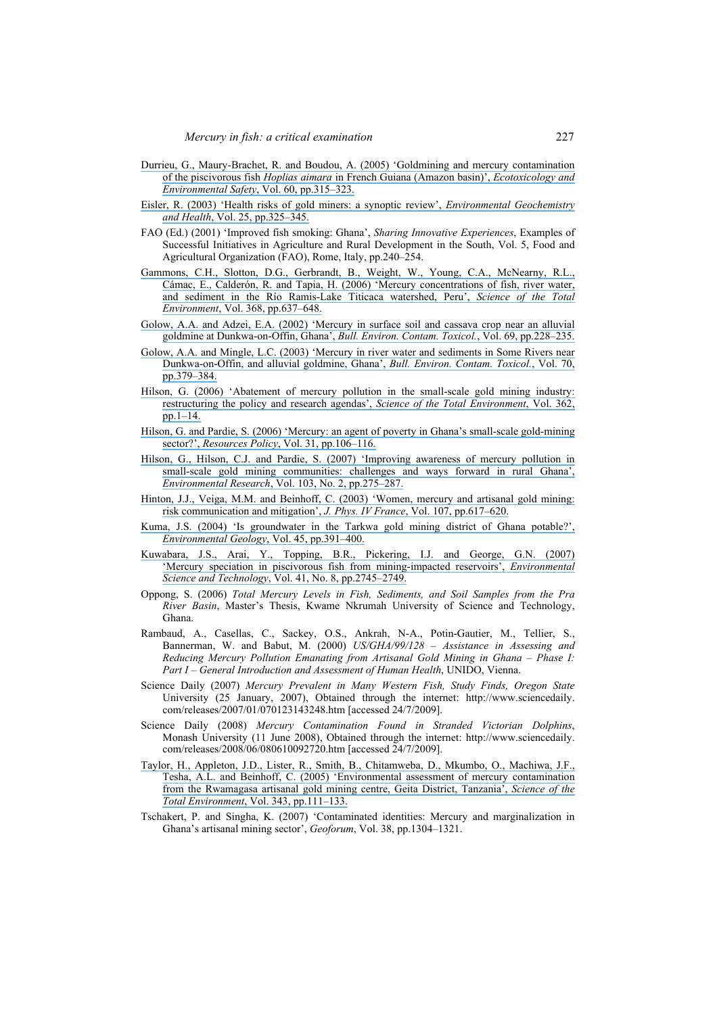- [Durrieu, G., Maury-Brachet, R. and Boudou, A. \(2005\) 'Goldmining and mercury contamination](https://www.researchgate.net/publication/8138041_Goldmining_and_mercury_contamination_of_the_piscivorous_fish_Hoplias_aimara_in_French_Guiana_Amazon_Basin?el=1_x_8&enrichId=rgreq-ae885e68416dd3318b9ce574a71792fe-XXX&enrichSource=Y292ZXJQYWdlOzI0OTkyMDQ2NjtBUzoxNTYwODYwODY2NzIzODRAMTQxNDIyNTIzMTc5MA==)  of the piscivorous fish *Hoplias aimara* [in French Guiana \(Amazon basin\)',](https://www.researchgate.net/publication/8138041_Goldmining_and_mercury_contamination_of_the_piscivorous_fish_Hoplias_aimara_in_French_Guiana_Amazon_Basin?el=1_x_8&enrichId=rgreq-ae885e68416dd3318b9ce574a71792fe-XXX&enrichSource=Y292ZXJQYWdlOzI0OTkyMDQ2NjtBUzoxNTYwODYwODY2NzIzODRAMTQxNDIyNTIzMTc5MA==) *Ecotoxicology and Environmental Safety*[, Vol. 60, pp.315–323.](https://www.researchgate.net/publication/8138041_Goldmining_and_mercury_contamination_of_the_piscivorous_fish_Hoplias_aimara_in_French_Guiana_Amazon_Basin?el=1_x_8&enrichId=rgreq-ae885e68416dd3318b9ce574a71792fe-XXX&enrichSource=Y292ZXJQYWdlOzI0OTkyMDQ2NjtBUzoxNTYwODYwODY2NzIzODRAMTQxNDIyNTIzMTc5MA==)
- [Eisler, R. \(2003\) 'Health risks of gold miners: a synoptic review',](https://www.researchgate.net/publication/10570622_Health_Risks_of_Gold_Miners_A_Synoptic_Review?el=1_x_8&enrichId=rgreq-ae885e68416dd3318b9ce574a71792fe-XXX&enrichSource=Y292ZXJQYWdlOzI0OTkyMDQ2NjtBUzoxNTYwODYwODY2NzIzODRAMTQxNDIyNTIzMTc5MA==) *Environmental Geochemistry and Health*[, Vol. 25, pp.325–345.](https://www.researchgate.net/publication/10570622_Health_Risks_of_Gold_Miners_A_Synoptic_Review?el=1_x_8&enrichId=rgreq-ae885e68416dd3318b9ce574a71792fe-XXX&enrichSource=Y292ZXJQYWdlOzI0OTkyMDQ2NjtBUzoxNTYwODYwODY2NzIzODRAMTQxNDIyNTIzMTc5MA==)
- FAO (Ed.) (2001) 'Improved fish smoking: Ghana', *Sharing Innovative Experiences*, Examples of Successful Initiatives in Agriculture and Rural Development in the South, Vol. 5, Food and Agricultural Organization (FAO), Rome, Italy, pp.240–254.
- [Gammons, C.H., Slotton, D.G., Gerbrandt, B., Weight, W., Young, C.A., McNearny, R.L.,](https://www.researchgate.net/publication/7497484_Mercury_concentrations_of_fish_river_water_and_sediment_in_the_Rio_Ramis-Lake_Titicaca_watershed_Peru?el=1_x_8&enrichId=rgreq-ae885e68416dd3318b9ce574a71792fe-XXX&enrichSource=Y292ZXJQYWdlOzI0OTkyMDQ2NjtBUzoxNTYwODYwODY2NzIzODRAMTQxNDIyNTIzMTc5MA==) [Cámac, E., Calderón, R. and Tapia, H. \(2006\) 'Mercury concentrations of fish, river water,](https://www.researchgate.net/publication/7497484_Mercury_concentrations_of_fish_river_water_and_sediment_in_the_Rio_Ramis-Lake_Titicaca_watershed_Peru?el=1_x_8&enrichId=rgreq-ae885e68416dd3318b9ce574a71792fe-XXX&enrichSource=Y292ZXJQYWdlOzI0OTkyMDQ2NjtBUzoxNTYwODYwODY2NzIzODRAMTQxNDIyNTIzMTc5MA==) [and sediment in the Río Ramis-Lake Titicaca watershed, Peru',](https://www.researchgate.net/publication/7497484_Mercury_concentrations_of_fish_river_water_and_sediment_in_the_Rio_Ramis-Lake_Titicaca_watershed_Peru?el=1_x_8&enrichId=rgreq-ae885e68416dd3318b9ce574a71792fe-XXX&enrichSource=Y292ZXJQYWdlOzI0OTkyMDQ2NjtBUzoxNTYwODYwODY2NzIzODRAMTQxNDIyNTIzMTc5MA==) *Science of the Total Environment*[, Vol. 368, pp.637–648.](https://www.researchgate.net/publication/7497484_Mercury_concentrations_of_fish_river_water_and_sediment_in_the_Rio_Ramis-Lake_Titicaca_watershed_Peru?el=1_x_8&enrichId=rgreq-ae885e68416dd3318b9ce574a71792fe-XXX&enrichSource=Y292ZXJQYWdlOzI0OTkyMDQ2NjtBUzoxNTYwODYwODY2NzIzODRAMTQxNDIyNTIzMTc5MA==)
- [Golow, A.A. and Adzei, E.A. \(2002\) 'Mercury in surface soil and cassava crop near an alluvial](https://www.researchgate.net/publication/11270202_Mercury_in_Surface_Soil_and_Cassava_Crop_Near_an_Alluvial_Goldmine_at_Dunkwa-on-Offin_Ghana?el=1_x_8&enrichId=rgreq-ae885e68416dd3318b9ce574a71792fe-XXX&enrichSource=Y292ZXJQYWdlOzI0OTkyMDQ2NjtBUzoxNTYwODYwODY2NzIzODRAMTQxNDIyNTIzMTc5MA==) [goldmine at Dunkwa-on-Offin, Ghana',](https://www.researchgate.net/publication/11270202_Mercury_in_Surface_Soil_and_Cassava_Crop_Near_an_Alluvial_Goldmine_at_Dunkwa-on-Offin_Ghana?el=1_x_8&enrichId=rgreq-ae885e68416dd3318b9ce574a71792fe-XXX&enrichSource=Y292ZXJQYWdlOzI0OTkyMDQ2NjtBUzoxNTYwODYwODY2NzIzODRAMTQxNDIyNTIzMTc5MA==) *Bull. Environ. Contam. Toxicol.*, Vol. 69, pp.228–235.
- [Golow, A.A. and Mingle, L.C. \(2003\) 'Mercury in river water and sediments in Some Rivers near](https://www.researchgate.net/publication/10936206_Mercury_in_River_Water_and_Sediments_in_Some_Rivers_near_Dunkwa-On-Offin_an_Alluvial_Goldmine_Ghana?el=1_x_8&enrichId=rgreq-ae885e68416dd3318b9ce574a71792fe-XXX&enrichSource=Y292ZXJQYWdlOzI0OTkyMDQ2NjtBUzoxNTYwODYwODY2NzIzODRAMTQxNDIyNTIzMTc5MA==)  [Dunkwa-on-Offin, and alluvial goldmine, Ghana',](https://www.researchgate.net/publication/10936206_Mercury_in_River_Water_and_Sediments_in_Some_Rivers_near_Dunkwa-On-Offin_an_Alluvial_Goldmine_Ghana?el=1_x_8&enrichId=rgreq-ae885e68416dd3318b9ce574a71792fe-XXX&enrichSource=Y292ZXJQYWdlOzI0OTkyMDQ2NjtBUzoxNTYwODYwODY2NzIzODRAMTQxNDIyNTIzMTc5MA==) *Bull. Environ. Contam. Toxicol.*, Vol. 70, [pp.379–384.](https://www.researchgate.net/publication/10936206_Mercury_in_River_Water_and_Sediments_in_Some_Rivers_near_Dunkwa-On-Offin_an_Alluvial_Goldmine_Ghana?el=1_x_8&enrichId=rgreq-ae885e68416dd3318b9ce574a71792fe-XXX&enrichSource=Y292ZXJQYWdlOzI0OTkyMDQ2NjtBUzoxNTYwODYwODY2NzIzODRAMTQxNDIyNTIzMTc5MA==)
- [Hilson, G. \(2006\) 'Abatement of mercury pollution in the small-scale gold mining industry:](https://www.researchgate.net/publication/7510011_Abatement_of_mercury_pollution_in_the_small-scale_gold_mining_industry_Restructuring_the_policy_and_research_agendas?el=1_x_8&enrichId=rgreq-ae885e68416dd3318b9ce574a71792fe-XXX&enrichSource=Y292ZXJQYWdlOzI0OTkyMDQ2NjtBUzoxNTYwODYwODY2NzIzODRAMTQxNDIyNTIzMTc5MA==) [restructuring the policy and research agendas',](https://www.researchgate.net/publication/7510011_Abatement_of_mercury_pollution_in_the_small-scale_gold_mining_industry_Restructuring_the_policy_and_research_agendas?el=1_x_8&enrichId=rgreq-ae885e68416dd3318b9ce574a71792fe-XXX&enrichSource=Y292ZXJQYWdlOzI0OTkyMDQ2NjtBUzoxNTYwODYwODY2NzIzODRAMTQxNDIyNTIzMTc5MA==) *Science of the Total Environment*, Vol. 362, [pp.1–14.](https://www.researchgate.net/publication/7510011_Abatement_of_mercury_pollution_in_the_small-scale_gold_mining_industry_Restructuring_the_policy_and_research_agendas?el=1_x_8&enrichId=rgreq-ae885e68416dd3318b9ce574a71792fe-XXX&enrichSource=Y292ZXJQYWdlOzI0OTkyMDQ2NjtBUzoxNTYwODYwODY2NzIzODRAMTQxNDIyNTIzMTc5MA==)
- [Hilson, G. and Pardie, S. \(2006\) 'Mercury: an agent of poverty in Ghana's small-scale gold-mining](https://www.researchgate.net/publication/223524131_Mercury_An_agent_of_poverty_in_Ghana) sector?', *Resources Policy*[, Vol. 31, pp.106–116.](https://www.researchgate.net/publication/223524131_Mercury_An_agent_of_poverty_in_Ghana)
- [Hilson, G., Hilson, C.J. and Pardie, S. \(2007\) 'Improving awareness of mercury pollution in](https://www.researchgate.net/publication/6696720_Improving_awareness_of_mercury_pollution_in_small-scale_gold_mining_communities_Challenges_and_ways_forward_in_rural_Ghana?el=1_x_8&enrichId=rgreq-ae885e68416dd3318b9ce574a71792fe-XXX&enrichSource=Y292ZXJQYWdlOzI0OTkyMDQ2NjtBUzoxNTYwODYwODY2NzIzODRAMTQxNDIyNTIzMTc5MA==)  [small-scale gold mining communities: challenges and ways forward in rural Ghana',](https://www.researchgate.net/publication/6696720_Improving_awareness_of_mercury_pollution_in_small-scale_gold_mining_communities_Challenges_and_ways_forward_in_rural_Ghana?el=1_x_8&enrichId=rgreq-ae885e68416dd3318b9ce574a71792fe-XXX&enrichSource=Y292ZXJQYWdlOzI0OTkyMDQ2NjtBUzoxNTYwODYwODY2NzIzODRAMTQxNDIyNTIzMTc5MA==) *Environmental Research*[, Vol. 103, No. 2, pp.275–287.](https://www.researchgate.net/publication/6696720_Improving_awareness_of_mercury_pollution_in_small-scale_gold_mining_communities_Challenges_and_ways_forward_in_rural_Ghana?el=1_x_8&enrichId=rgreq-ae885e68416dd3318b9ce574a71792fe-XXX&enrichSource=Y292ZXJQYWdlOzI0OTkyMDQ2NjtBUzoxNTYwODYwODY2NzIzODRAMTQxNDIyNTIzMTc5MA==)
- [Hinton, J.J., Veiga, M.M. and Beinhoff, C. \(2003\) 'Women, mercury and artisanal gold mining:](https://www.researchgate.net/publication/45688741_Women_mercury_and_artisanal_gold_mining_Risk_communication_and_mitigation?el=1_x_8&enrichId=rgreq-ae885e68416dd3318b9ce574a71792fe-XXX&enrichSource=Y292ZXJQYWdlOzI0OTkyMDQ2NjtBUzoxNTYwODYwODY2NzIzODRAMTQxNDIyNTIzMTc5MA==)  [risk communication and mitigation',](https://www.researchgate.net/publication/45688741_Women_mercury_and_artisanal_gold_mining_Risk_communication_and_mitigation?el=1_x_8&enrichId=rgreq-ae885e68416dd3318b9ce574a71792fe-XXX&enrichSource=Y292ZXJQYWdlOzI0OTkyMDQ2NjtBUzoxNTYwODYwODY2NzIzODRAMTQxNDIyNTIzMTc5MA==) *J. Phys. IV France*, Vol. 107, pp.617–620.
- [Kuma, J.S. \(2004\) 'Is groundwater in the Tarkwa gold mining district of Ghana potable?',](https://www.researchgate.net/publication/225745624_Is_groundwater_in_the_Tarkwa_gold_mining_district_of_Ghana_potable?el=1_x_8&enrichId=rgreq-ae885e68416dd3318b9ce574a71792fe-XXX&enrichSource=Y292ZXJQYWdlOzI0OTkyMDQ2NjtBUzoxNTYwODYwODY2NzIzODRAMTQxNDIyNTIzMTc5MA==) *[Environmental Geology](https://www.researchgate.net/publication/225745624_Is_groundwater_in_the_Tarkwa_gold_mining_district_of_Ghana_potable?el=1_x_8&enrichId=rgreq-ae885e68416dd3318b9ce574a71792fe-XXX&enrichSource=Y292ZXJQYWdlOzI0OTkyMDQ2NjtBUzoxNTYwODYwODY2NzIzODRAMTQxNDIyNTIzMTc5MA==)*, Vol. 45, pp.391–400.
- [Kuwabara, J.S., Arai, Y., Topping, B.R., Pickering, I.J. and George, G.N. \(2007\)](https://www.researchgate.net/publication/6301841_Mercury_Speciation_in_Piscivorous_Fish_from_Mining-Impacted_Reservoirs?el=1_x_8&enrichId=rgreq-ae885e68416dd3318b9ce574a71792fe-XXX&enrichSource=Y292ZXJQYWdlOzI0OTkyMDQ2NjtBUzoxNTYwODYwODY2NzIzODRAMTQxNDIyNTIzMTc5MA==) ['Mercury speciation in piscivorous fish from mining-impacted reservoirs',](https://www.researchgate.net/publication/6301841_Mercury_Speciation_in_Piscivorous_Fish_from_Mining-Impacted_Reservoirs?el=1_x_8&enrichId=rgreq-ae885e68416dd3318b9ce574a71792fe-XXX&enrichSource=Y292ZXJQYWdlOzI0OTkyMDQ2NjtBUzoxNTYwODYwODY2NzIzODRAMTQxNDIyNTIzMTc5MA==) *Environmental Science and Technology*[, Vol. 41, No. 8, pp.2745–2749.](https://www.researchgate.net/publication/6301841_Mercury_Speciation_in_Piscivorous_Fish_from_Mining-Impacted_Reservoirs?el=1_x_8&enrichId=rgreq-ae885e68416dd3318b9ce574a71792fe-XXX&enrichSource=Y292ZXJQYWdlOzI0OTkyMDQ2NjtBUzoxNTYwODYwODY2NzIzODRAMTQxNDIyNTIzMTc5MA==)
- Oppong, S. (2006) *Total Mercury Levels in Fish, Sediments, and Soil Samples from the Pra River Basin*, Master's Thesis, Kwame Nkrumah University of Science and Technology, Ghana.
- Rambaud, A., Casellas, C., Sackey, O.S., Ankrah, N-A., Potin-Gautier, M., Tellier, S., Bannerman, W. and Babut, M. (2000) *US/GHA/99/128 – Assistance in Assessing and Reducing Mercury Pollution Emanating from Artisanal Gold Mining in Ghana – Phase I: Part I – General Introduction and Assessment of Human Health*, UNIDO, Vienna.
- Science Daily (2007) *Mercury Prevalent in Many Western Fish, Study Finds, Oregon State*  University (25 January, 2007), Obtained through the internet: http://www.sciencedaily. com/releases/2007/01/070123143248.htm [accessed 24/7/2009].
- Science Daily (2008) *Mercury Contamination Found in Stranded Victorian Dolphins*, Monash University (11 June 2008), Obtained through the internet: http://www.sciencedaily. com/releases/2008/06/080610092720.htm [accessed 24/7/2009].
- [Taylor, H., Appleton, J.D., Lister, R., Smith, B., Chitamweba, D., Mkumbo, O., Machiwa, J.F.,](https://www.researchgate.net/publication/7875034_Environmental_assessment_of_mercury_contamination_from_the_Rwamagasa_artisanal_gold_mining_centre_Geita_District_Tanzania?el=1_x_8&enrichId=rgreq-ae885e68416dd3318b9ce574a71792fe-XXX&enrichSource=Y292ZXJQYWdlOzI0OTkyMDQ2NjtBUzoxNTYwODYwODY2NzIzODRAMTQxNDIyNTIzMTc5MA==) [Tesha, A.L. and Beinhoff, C. \(2005\) 'Environmental assessment of mercury contamination](https://www.researchgate.net/publication/7875034_Environmental_assessment_of_mercury_contamination_from_the_Rwamagasa_artisanal_gold_mining_centre_Geita_District_Tanzania?el=1_x_8&enrichId=rgreq-ae885e68416dd3318b9ce574a71792fe-XXX&enrichSource=Y292ZXJQYWdlOzI0OTkyMDQ2NjtBUzoxNTYwODYwODY2NzIzODRAMTQxNDIyNTIzMTc5MA==) [from the Rwamagasa artisanal gold mining centre, Geita District, Tanzania',](https://www.researchgate.net/publication/7875034_Environmental_assessment_of_mercury_contamination_from_the_Rwamagasa_artisanal_gold_mining_centre_Geita_District_Tanzania?el=1_x_8&enrichId=rgreq-ae885e68416dd3318b9ce574a71792fe-XXX&enrichSource=Y292ZXJQYWdlOzI0OTkyMDQ2NjtBUzoxNTYwODYwODY2NzIzODRAMTQxNDIyNTIzMTc5MA==) *Science of the Total Environment*[, Vol. 343, pp.111–133.](https://www.researchgate.net/publication/7875034_Environmental_assessment_of_mercury_contamination_from_the_Rwamagasa_artisanal_gold_mining_centre_Geita_District_Tanzania?el=1_x_8&enrichId=rgreq-ae885e68416dd3318b9ce574a71792fe-XXX&enrichSource=Y292ZXJQYWdlOzI0OTkyMDQ2NjtBUzoxNTYwODYwODY2NzIzODRAMTQxNDIyNTIzMTc5MA==)
- Tschakert, P. and Singha, K. (2007) 'Contaminated identities: Mercury and marginalization in Ghana's artisanal mining sector', *Geoforum*, Vol. 38, pp.1304–1321.